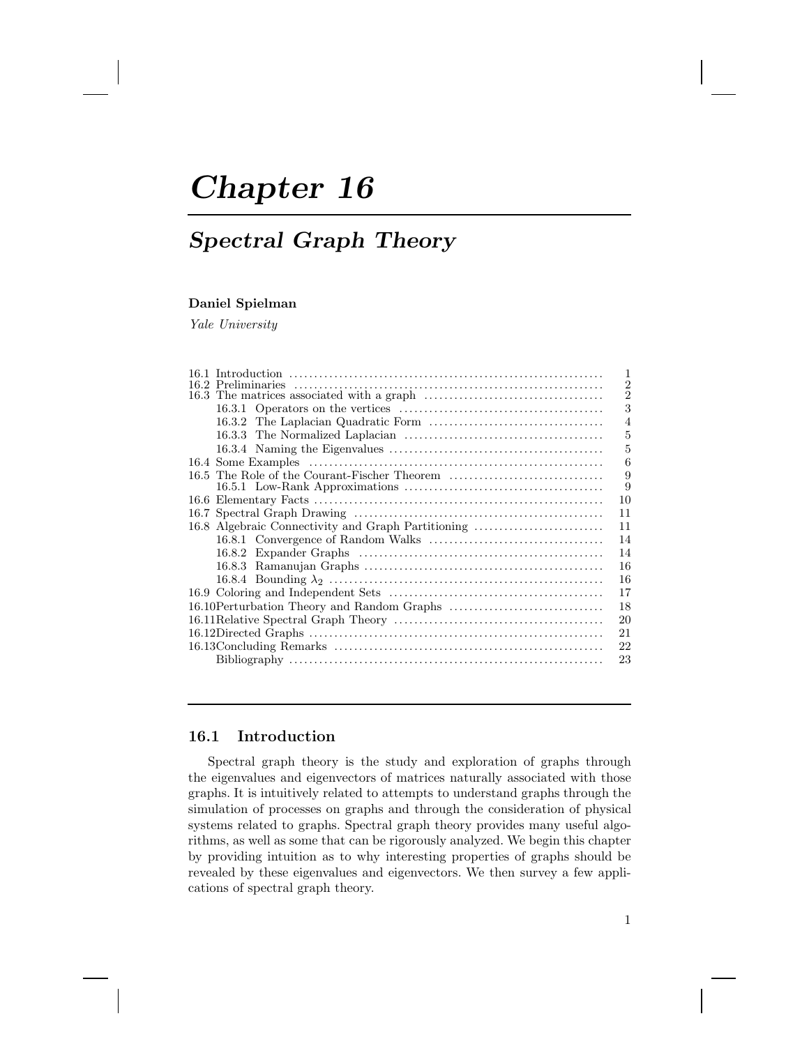# Chapter 16

# Spectral Graph Theory

# Daniel Spielman

Yale University

| 1                                                                                                                                |
|----------------------------------------------------------------------------------------------------------------------------------|
| $\overline{\mathcal{L}}$                                                                                                         |
| $\overline{2}$<br>16.3 The matrices associated with a graph $\cdots\cdots\cdots\cdots\cdots\cdots\cdots\cdots\cdots\cdots\cdots$ |
| 3                                                                                                                                |
|                                                                                                                                  |
| 5                                                                                                                                |
| 5                                                                                                                                |
| 6                                                                                                                                |
| 16.5 The Role of the Courant-Fischer Theorem<br>9                                                                                |
| 9                                                                                                                                |
| 10                                                                                                                               |
| 11                                                                                                                               |
| 16.8 Algebraic Connectivity and Graph Partitioning<br>11                                                                         |
| 14                                                                                                                               |
| 14                                                                                                                               |
| 16                                                                                                                               |
| 16                                                                                                                               |
| 17                                                                                                                               |
| 18                                                                                                                               |
| 20                                                                                                                               |
| 21                                                                                                                               |
| 22                                                                                                                               |
| 23                                                                                                                               |

# 16.1 Introduction

Spectral graph theory is the study and exploration of graphs through the eigenvalues and eigenvectors of matrices naturally associated with those graphs. It is intuitively related to attempts to understand graphs through the simulation of processes on graphs and through the consideration of physical systems related to graphs. Spectral graph theory provides many useful algorithms, as well as some that can be rigorously analyzed. We begin this chapter by providing intuition as to why interesting properties of graphs should be revealed by these eigenvalues and eigenvectors. We then survey a few applications of spectral graph theory.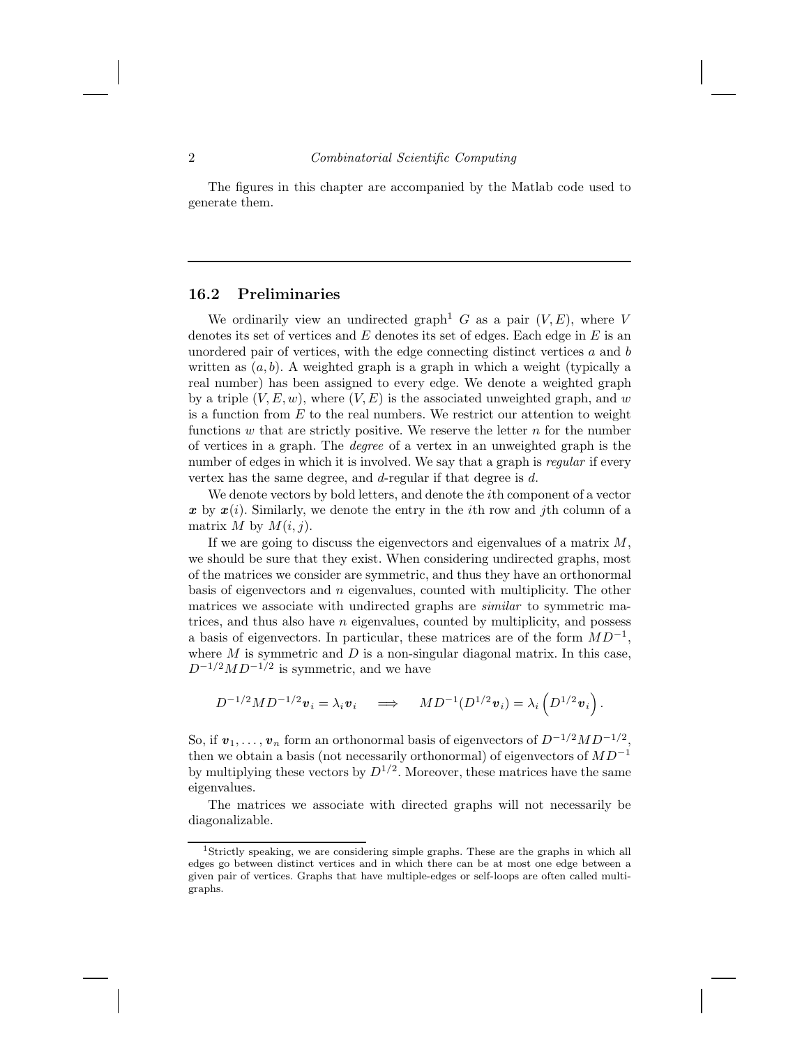The figures in this chapter are accompanied by the Matlab code used to generate them.

# 16.2 Preliminaries

We ordinarily view an undirected graph<sup>1</sup> G as a pair  $(V, E)$ , where V denotes its set of vertices and  $E$  denotes its set of edges. Each edge in  $E$  is an unordered pair of vertices, with the edge connecting distinct vertices  $a$  and  $b$ written as  $(a, b)$ . A weighted graph is a graph in which a weight (typically a real number) has been assigned to every edge. We denote a weighted graph by a triple  $(V, E, w)$ , where  $(V, E)$  is the associated unweighted graph, and w is a function from  $E$  to the real numbers. We restrict our attention to weight functions  $w$  that are strictly positive. We reserve the letter  $n$  for the number of vertices in a graph. The degree of a vertex in an unweighted graph is the number of edges in which it is involved. We say that a graph is *regular* if every vertex has the same degree, and d-regular if that degree is d.

We denote vectors by bold letters, and denote the ith component of a vector x by  $x(i)$ . Similarly, we denote the entry in the *i*th row and *j*th column of a matrix M by  $M(i, j)$ .

If we are going to discuss the eigenvectors and eigenvalues of a matrix  $M$ , we should be sure that they exist. When considering undirected graphs, most of the matrices we consider are symmetric, and thus they have an orthonormal basis of eigenvectors and  $n$  eigenvalues, counted with multiplicity. The other matrices we associate with undirected graphs are *similar* to symmetric matrices, and thus also have  $n$  eigenvalues, counted by multiplicity, and possess a basis of eigenvectors. In particular, these matrices are of the form  $MD^{-1}$ , where  $M$  is symmetric and  $D$  is a non-singular diagonal matrix. In this case,  $D^{-1/2}MD^{-1/2}$  is symmetric, and we have

$$
D^{-1/2}MD^{-1/2}v_i = \lambda_i v_i \quad \implies \quad MD^{-1}(D^{1/2}v_i) = \lambda_i \left(D^{1/2}v_i\right).
$$

So, if  $v_1, \ldots, v_n$  form an orthonormal basis of eigenvectors of  $D^{-1/2}MD^{-1/2}$ . then we obtain a basis (not necessarily orthonormal) of eigenvectors of  $MD^{-1}$ by multiplying these vectors by  $D^{1/2}$ . Moreover, these matrices have the same eigenvalues.

The matrices we associate with directed graphs will not necessarily be diagonalizable.

<sup>&</sup>lt;sup>1</sup>Strictly speaking, we are considering simple graphs. These are the graphs in which all edges go between distinct vertices and in which there can be at most one edge between a given pair of vertices. Graphs that have multiple-edges or self-loops are often called multigraphs.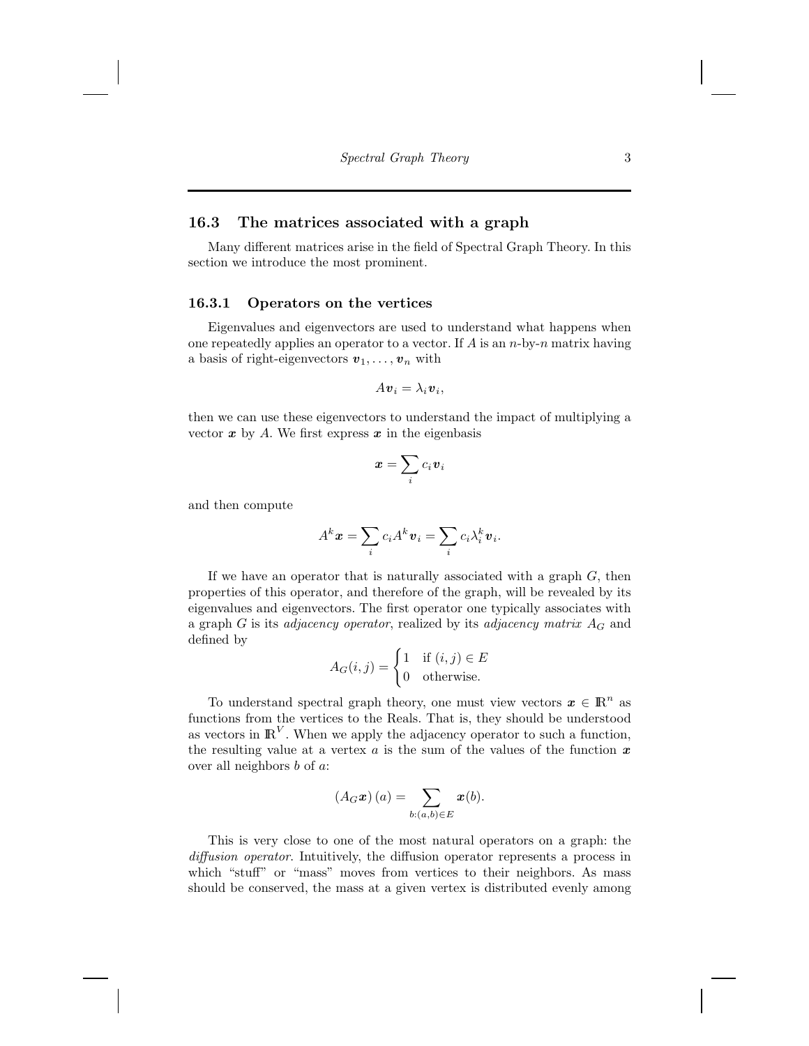#### 16.3 The matrices associated with a graph

Many different matrices arise in the field of Spectral Graph Theory. In this section we introduce the most prominent.

# 16.3.1 Operators on the vertices

Eigenvalues and eigenvectors are used to understand what happens when one repeatedly applies an operator to a vector. If  $A$  is an  $n$ -by- $n$  matrix having a basis of right-eigenvectors  $v_1, \ldots, v_n$  with

$$
A\mathbf{v}_i = \lambda_i \mathbf{v}_i,
$$

then we can use these eigenvectors to understand the impact of multiplying a vector  $x$  by A. We first express  $x$  in the eigenbasis

$$
\bm{x} = \sum_i c_i \bm{v}_i
$$

and then compute

$$
A^k \boldsymbol{x} = \sum_i c_i A^k \boldsymbol{v}_i = \sum_i c_i \lambda_i^k \boldsymbol{v}_i.
$$

If we have an operator that is naturally associated with a graph  $G$ , then properties of this operator, and therefore of the graph, will be revealed by its eigenvalues and eigenvectors. The first operator one typically associates with a graph G is its *adjacency operator*, realized by its *adjacency matrix*  $A_G$  and defined by

$$
A_G(i,j) = \begin{cases} 1 & \text{if } (i,j) \in E \\ 0 & \text{otherwise.} \end{cases}
$$

To understand spectral graph theory, one must view vectors  $x \in \mathbb{R}^n$  as functions from the vertices to the Reals. That is, they should be understood as vectors in  $\mathbb{R}^V$ . When we apply the adjacency operator to such a function, the resulting value at a vertex  $a$  is the sum of the values of the function  $x$ over all neighbors b of a:

$$
(A_G\boldsymbol{x})\,(a) = \sum_{b:(a,b)\in E} \boldsymbol{x}(b).
$$

This is very close to one of the most natural operators on a graph: the diffusion operator. Intuitively, the diffusion operator represents a process in which "stuff" or "mass" moves from vertices to their neighbors. As mass should be conserved, the mass at a given vertex is distributed evenly among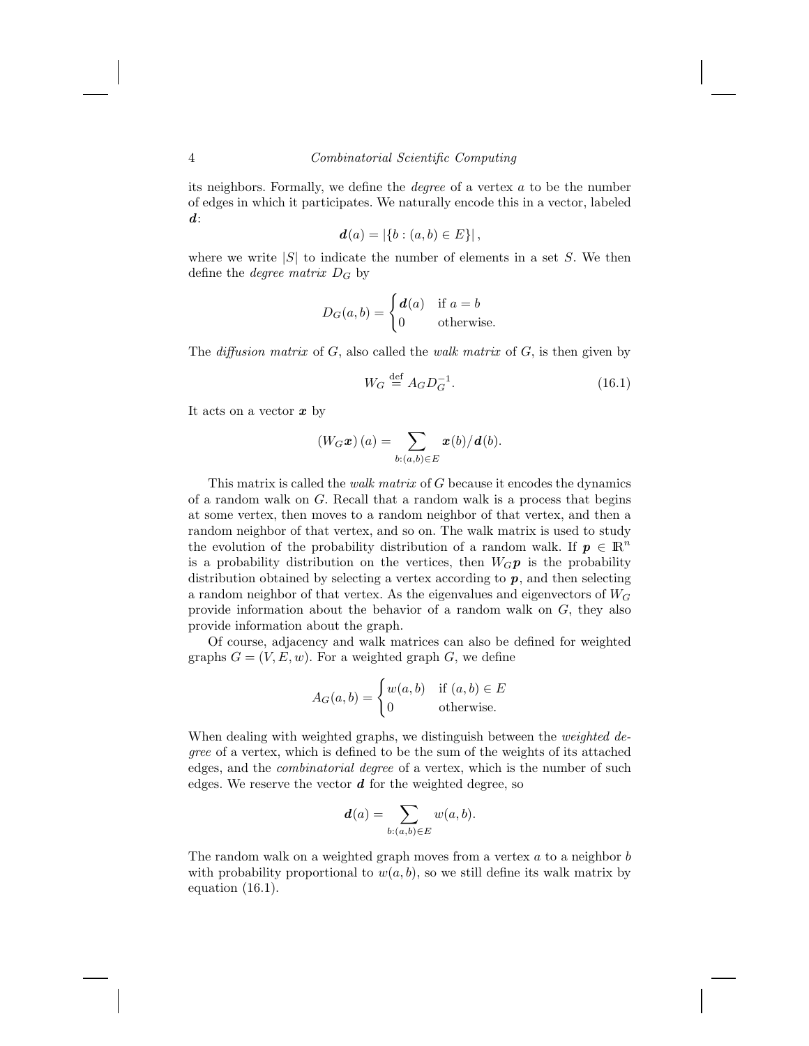its neighbors. Formally, we define the degree of a vertex a to be the number of edges in which it participates. We naturally encode this in a vector, labeled  $\boldsymbol{d}$ :

$$
\boldsymbol{d}(a) = |\{b : (a, b) \in E\}|,
$$

where we write  $|S|$  to indicate the number of elements in a set S. We then define the *degree matrix*  $D_G$  by

$$
D_G(a, b) = \begin{cases} d(a) & \text{if } a = b \\ 0 & \text{otherwise.} \end{cases}
$$

The diffusion matrix of  $G$ , also called the walk matrix of  $G$ , is then given by

$$
W_G \stackrel{\text{def}}{=} A_G D_G^{-1}.
$$
\n<sup>(16.1)</sup>

It acts on a vector  $x$  by

$$
(W_G\boldsymbol{x})\,(a)=\sum_{b:(a,b)\in E}\boldsymbol{x}(b)/\boldsymbol{d}(b).
$$

This matrix is called the *walk matrix* of G because it encodes the dynamics of a random walk on G. Recall that a random walk is a process that begins at some vertex, then moves to a random neighbor of that vertex, and then a random neighbor of that vertex, and so on. The walk matrix is used to study the evolution of the probability distribution of a random walk. If  $p \in \mathbb{R}^n$ is a probability distribution on the vertices, then  $W_G p$  is the probability distribution obtained by selecting a vertex according to  $p$ , and then selecting a random neighbor of that vertex. As the eigenvalues and eigenvectors of  $W_G$ provide information about the behavior of a random walk on G, they also provide information about the graph.

Of course, adjacency and walk matrices can also be defined for weighted graphs  $G = (V, E, w)$ . For a weighted graph G, we define

$$
A_G(a, b) = \begin{cases} w(a, b) & \text{if } (a, b) \in E \\ 0 & \text{otherwise.} \end{cases}
$$

When dealing with weighted graphs, we distinguish between the *weighted de*gree of a vertex, which is defined to be the sum of the weights of its attached edges, and the combinatorial degree of a vertex, which is the number of such edges. We reserve the vector  $d$  for the weighted degree, so

$$
\boldsymbol{d}(a) = \sum_{b:(a,b)\in E} w(a,b).
$$

The random walk on a weighted graph moves from a vertex  $a$  to a neighbor  $b$ with probability proportional to  $w(a, b)$ , so we still define its walk matrix by equation (16.1).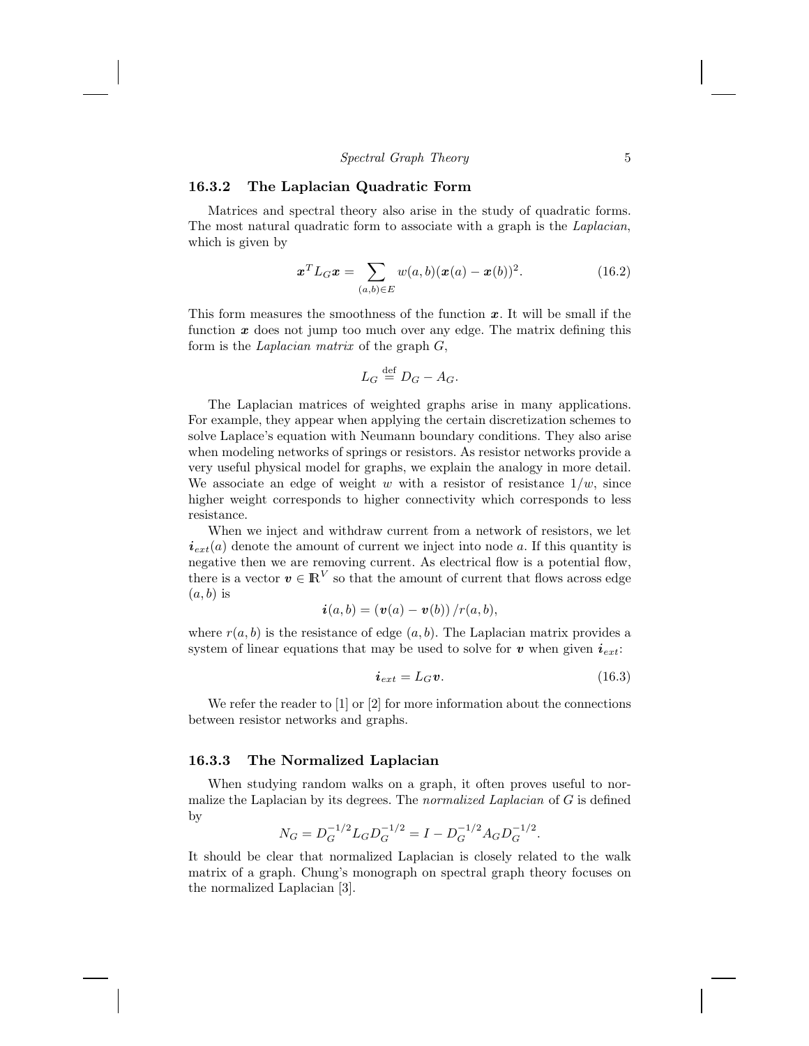#### 16.3.2 The Laplacian Quadratic Form

Matrices and spectral theory also arise in the study of quadratic forms. The most natural quadratic form to associate with a graph is the *Laplacian*, which is given by

$$
\boldsymbol{x}^T L_G \boldsymbol{x} = \sum_{(a,b)\in E} w(a,b) (\boldsymbol{x}(a) - \boldsymbol{x}(b))^2.
$$
 (16.2)

This form measures the smoothness of the function  $x$ . It will be small if the function  $x$  does not jump too much over any edge. The matrix defining this form is the Laplacian matrix of the graph G,

$$
L_G \stackrel{\text{def}}{=} D_G - A_G.
$$

The Laplacian matrices of weighted graphs arise in many applications. For example, they appear when applying the certain discretization schemes to solve Laplace's equation with Neumann boundary conditions. They also arise when modeling networks of springs or resistors. As resistor networks provide a very useful physical model for graphs, we explain the analogy in more detail. We associate an edge of weight w with a resistor of resistance  $1/w$ , since higher weight corresponds to higher connectivity which corresponds to less resistance.

When we inject and withdraw current from a network of resistors, we let  $i_{ext}(a)$  denote the amount of current we inject into node a. If this quantity is negative then we are removing current. As electrical flow is a potential flow, there is a vector  $v \in \mathbb{R}^V$  so that the amount of current that flows across edge  $(a, b)$  is

$$
\boldsymbol{i}(a,b)=(\boldsymbol{v}(a)-\boldsymbol{v}(b))/r(a,b),
$$

where  $r(a, b)$  is the resistance of edge  $(a, b)$ . The Laplacian matrix provides a system of linear equations that may be used to solve for v when given  $i_{ext}$ :

$$
\boldsymbol{i}_{ext} = L_G \boldsymbol{v}.\tag{16.3}
$$

We refer the reader to [1] or [2] for more information about the connections between resistor networks and graphs.

#### 16.3.3 The Normalized Laplacian

When studying random walks on a graph, it often proves useful to normalize the Laplacian by its degrees. The *normalized Laplacian* of  $G$  is defined by

$$
N_G = D_G^{-1/2} L_G D_G^{-1/2} = I - D_G^{-1/2} A_G D_G^{-1/2}.
$$

It should be clear that normalized Laplacian is closely related to the walk matrix of a graph. Chung's monograph on spectral graph theory focuses on the normalized Laplacian [3].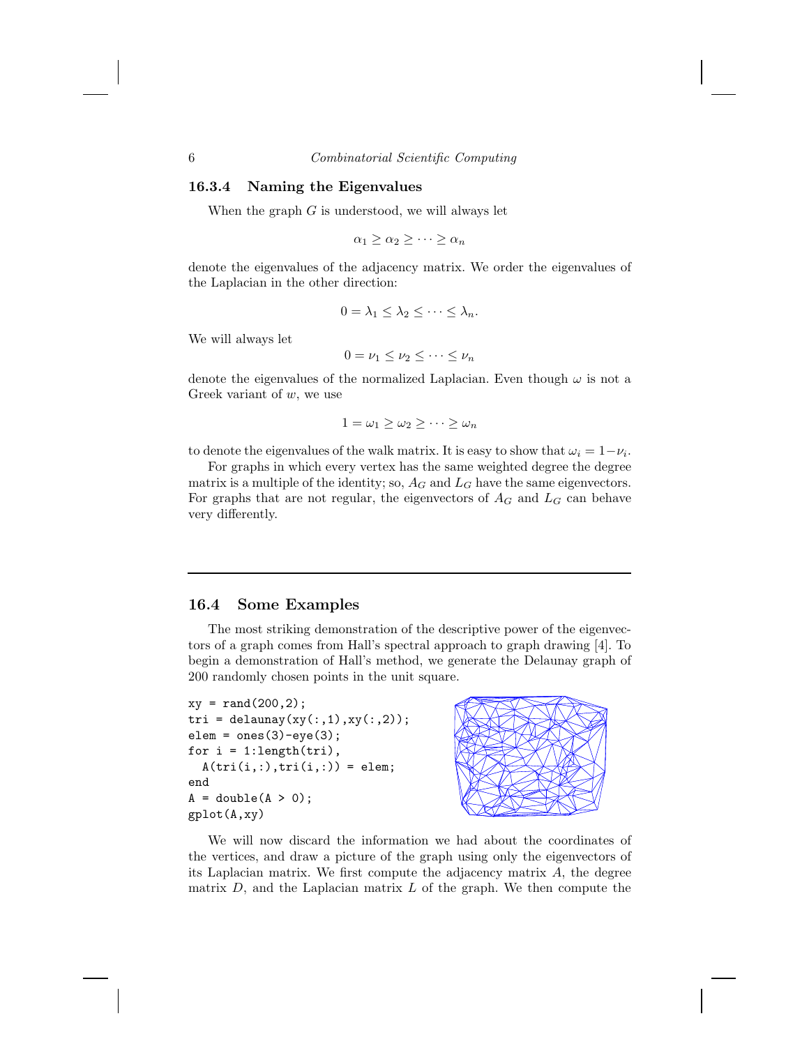#### 16.3.4 Naming the Eigenvalues

When the graph  $G$  is understood, we will always let

$$
\alpha_1 \ge \alpha_2 \ge \cdots \ge \alpha_n
$$

denote the eigenvalues of the adjacency matrix. We order the eigenvalues of the Laplacian in the other direction:

$$
0=\lambda_1\leq \lambda_2\leq \cdots\leq \lambda_n.
$$

We will always let

$$
0=\nu_1\leq \nu_2\leq \cdots\leq \nu_n
$$

denote the eigenvalues of the normalized Laplacian. Even though  $\omega$  is not a Greek variant of  $w$ , we use

$$
1 = \omega_1 \ge \omega_2 \ge \cdots \ge \omega_n
$$

to denote the eigenvalues of the walk matrix. It is easy to show that  $\omega_i = 1 - \nu_i$ .

For graphs in which every vertex has the same weighted degree the degree matrix is a multiple of the identity; so,  $A_G$  and  $L_G$  have the same eigenvectors. For graphs that are not regular, the eigenvectors of  $A_G$  and  $L_G$  can behave very differently.

# 16.4 Some Examples

The most striking demonstration of the descriptive power of the eigenvectors of a graph comes from Hall's spectral approach to graph drawing [4]. To begin a demonstration of Hall's method, we generate the Delaunay graph of 200 randomly chosen points in the unit square.

```
xy = rand(200, 2);tri = delaunay(xy(:,1), xy(:,2));
elem = ones(3)-eye(3);for i = 1: length(tri),
  A(tri(i,:),tri(i,:)) = elem;end
A = double(A > 0);gplot(A,xy)
```


We will now discard the information we had about the coordinates of the vertices, and draw a picture of the graph using only the eigenvectors of its Laplacian matrix. We first compute the adjacency matrix A, the degree matrix  $D$ , and the Laplacian matrix  $L$  of the graph. We then compute the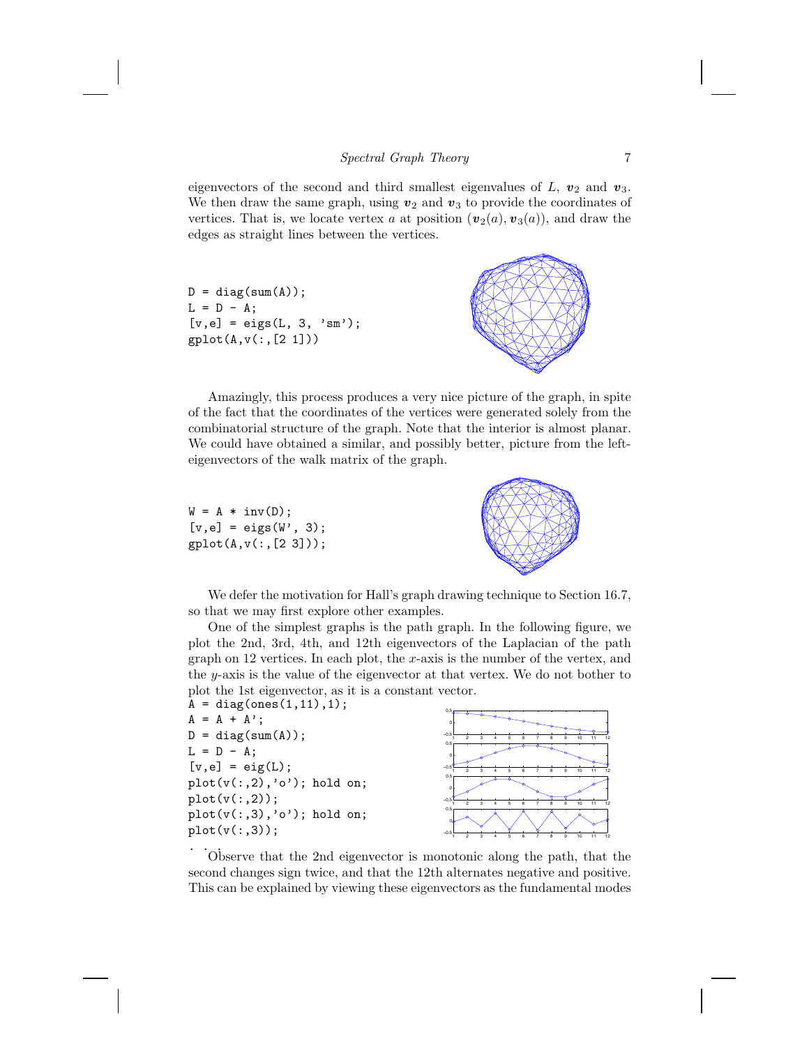eigenvectors of the second and third smallest eigenvalues of  $L$ ,  $v_2$  and  $v_3$ . We then draw the same graph, using  $v_2$  and  $v_3$  to provide the coordinates of vertices. That is, we locate vertex a at position  $(v_2(a), v_3(a))$ , and draw the edges as straight lines between the vertices.

 $D = diag(sum(A));$  $L = D - A;$  $[v,e] = eigS(L, 3, 'sm');$ gplot(A,v(:,[2 1]))



Amazingly, this process produces a very nice picture of the graph, in spite of the fact that the coordinates of the vertices were generated solely from the combinatorial structure of the graph. Note that the interior is almost planar. We could have obtained a similar, and possibly better, picture from the lefteigenvectors of the walk matrix of the graph.

 $W = A * inv(D);$  $[v,e] = eig(s(w', 3);$ gplot(A,v(:,[2 3]));



We defer the motivation for Hall's graph drawing technique to Section 16.7, so that we may first explore other examples.

One of the simplest graphs is the path graph. In the following figure, we plot the 2nd, 3rd, 4th, and 12th eigenvectors of the Laplacian of the path graph on 12 vertices. In each plot, the x-axis is the number of the vertex, and the y-axis is the value of the eigenvector at that vertex. We do not bother to plot the 1st eigenvector, as it is a constant vector.

| $A = diag(ones(1, 11), 1);$ |  |
|-----------------------------|--|
| $A = A + A'$ ;              |  |
| $D = diag(sum(A));$         |  |
| $L = D - A;$                |  |
| $[v,e] = eig(L);$           |  |
| plot(v(:,2), 'o'); hold on; |  |
| plot(v(:,2));               |  |
| plot(v(:,3), 'o'); hold on; |  |
| plot(v(:,3));               |  |

 $\cdot$ ... Observe that the 2nd eigenvector is monotonic along the path, that the second changes sign twice, and that the 12th alternates negative and positive. This can be explained by viewing these eigenvectors as the fundamental modes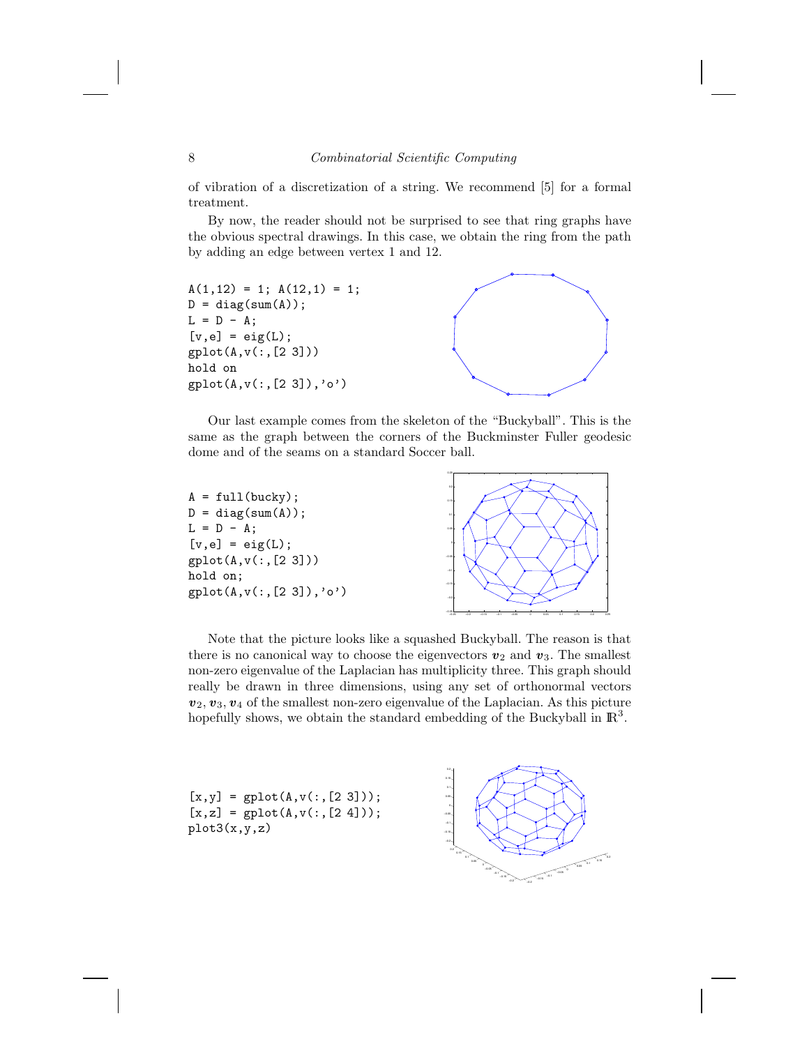of vibration of a discretization of a string. We recommend [5] for a formal treatment.

By now, the reader should not be surprised to see that ring graphs have the obvious spectral drawings. In this case, we obtain the ring from the path by adding an edge between vertex 1 and 12.

 $A(1,12) = 1$ ;  $A(12,1) = 1$ ;  $D = diag(sum(A));$  $L = D - A;$  $[v,e] = eig(L);$ gplot(A,v(:,[2 3])) hold on gplot(A,v(:,[2 3]),'o')

Our last example comes from the skeleton of the "Buckyball". This is the same as the graph between the corners of the Buckminster Fuller geodesic dome and of the seams on a standard Soccer ball.

 $A = full(bucky);$  $D = diag(sum(A));$  $L = D - A;$  $[v,e] = eig(L);$ gplot(A,v(:,[2 3])) hold on; gplot(A,v(:,[2 3]),'o')



Note that the picture looks like a squashed Buckyball. The reason is that there is no canonical way to choose the eigenvectors  $v_2$  and  $v_3$ . The smallest non-zero eigenvalue of the Laplacian has multiplicity three. This graph should really be drawn in three dimensions, using any set of orthonormal vectors  $v_2, v_3, v_4$  of the smallest non-zero eigenvalue of the Laplacian. As this picture hopefully shows, we obtain the standard embedding of the Buckyball in  $\mathbb{R}^3$ .

 $[x, y] = \text{gplot}(A, v(:, [2 3]))$ ;  $[x,z] = gplot(A,v(:,[2 4]))$ ; plot3(x,y,z)

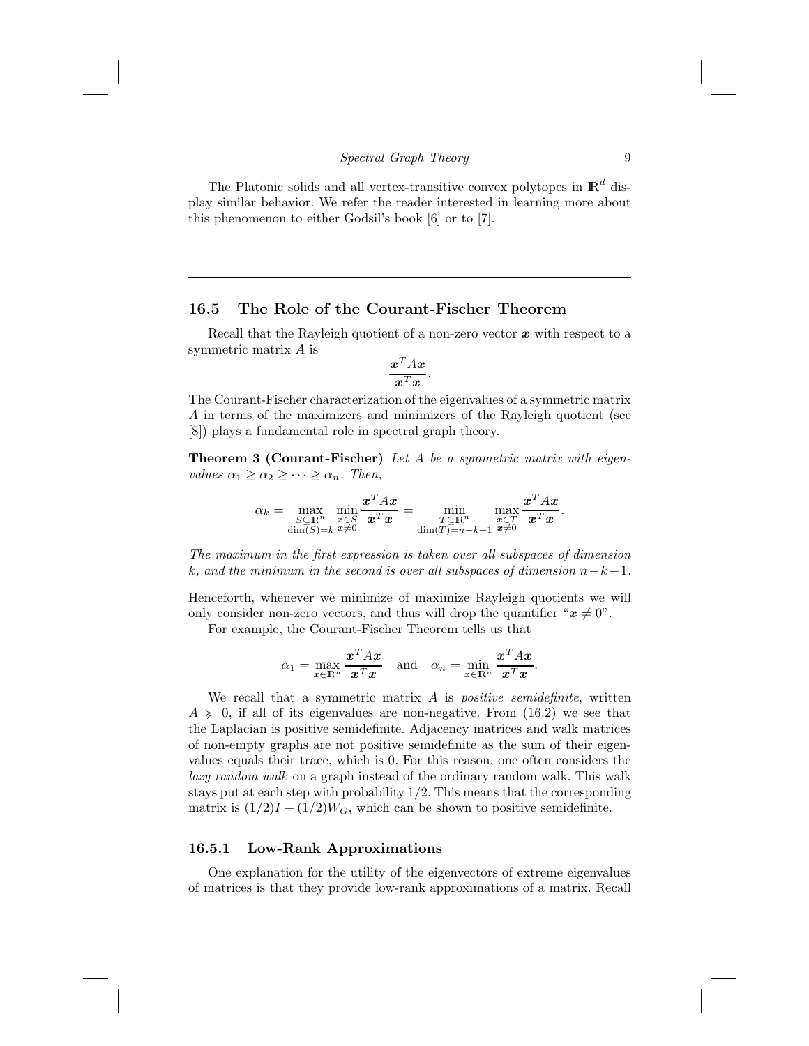The Platonic solids and all vertex-transitive convex polytopes in  $\mathbb{R}^d$  display similar behavior. We refer the reader interested in learning more about this phenomenon to either Godsil's book [6] or to [7].

# 16.5 The Role of the Courant-Fischer Theorem

Recall that the Rayleigh quotient of a non-zero vector  $x$  with respect to a symmetric matrix A is

$$
\frac{\bm x^T A \bm x}{\bm x^T \bm x}.
$$

The Courant-Fischer characterization of the eigenvalues of a symmetric matrix A in terms of the maximizers and minimizers of the Rayleigh quotient (see [8]) plays a fundamental role in spectral graph theory.

Theorem 3 (Courant-Fischer) Let A be a symmetric matrix with eigenvalues  $\alpha_1 \geq \alpha_2 \geq \cdots \geq \alpha_n$ . Then,

$$
\alpha_k = \max_{\substack{S \subseteq \mathbb{R}^n \\ \dim(S) = k}} \min_{\substack{x \in S \\ x \neq 0}} \frac{x^T A x}{x^T x} = \min_{\substack{T \subseteq \mathbb{R}^n \\ \dim(T) = n - k + 1}} \max_{\substack{x \in T \\ x \neq 0}} \frac{x^T A x}{x^T x}.
$$

The maximum in the first expression is taken over all subspaces of dimension k, and the minimum in the second is over all subspaces of dimension  $n-k+1$ .

Henceforth, whenever we minimize of maximize Rayleigh quotients we will only consider non-zero vectors, and thus will drop the quantifier " $x \neq 0$ ".

For example, the Courant-Fischer Theorem tells us that

$$
\alpha_1 = \max_{\mathbf{x} \in \mathbb{R}^n} \frac{\mathbf{x}^T A \mathbf{x}}{\mathbf{x}^T \mathbf{x}} \quad \text{and} \quad \alpha_n = \min_{\mathbf{x} \in \mathbb{R}^n} \frac{\mathbf{x}^T A \mathbf{x}}{\mathbf{x}^T \mathbf{x}}.
$$

We recall that a symmetric matrix  $A$  is *positive semidefinite*, written  $A \geq 0$ , if all of its eigenvalues are non-negative. From (16.2) we see that the Laplacian is positive semidefinite. Adjacency matrices and walk matrices of non-empty graphs are not positive semidefinite as the sum of their eigenvalues equals their trace, which is 0. For this reason, one often considers the lazy random walk on a graph instead of the ordinary random walk. This walk stays put at each step with probability 1/2. This means that the corresponding matrix is  $(1/2)I + (1/2)W_G$ , which can be shown to positive semidefinite.

# 16.5.1 Low-Rank Approximations

One explanation for the utility of the eigenvectors of extreme eigenvalues of matrices is that they provide low-rank approximations of a matrix. Recall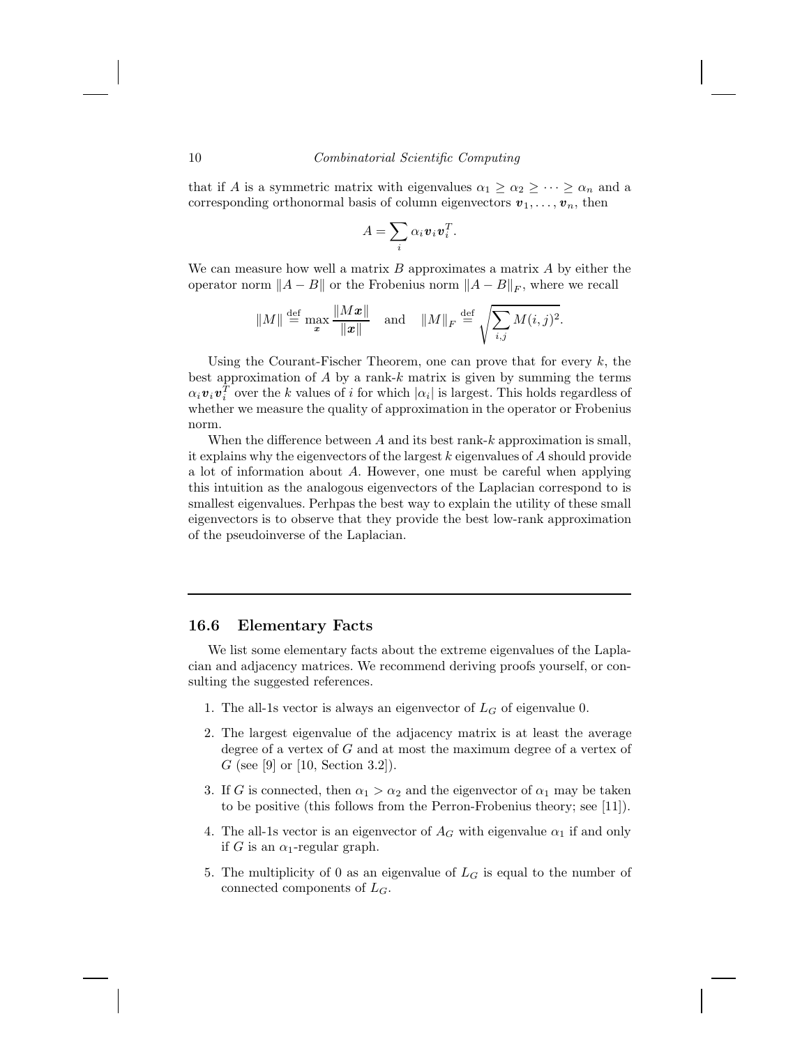that if A is a symmetric matrix with eigenvalues  $\alpha_1 \geq \alpha_2 \geq \cdots \geq \alpha_n$  and a corresponding orthonormal basis of column eigenvectors  $v_1, \ldots, v_n$ , then

$$
A = \sum_i \alpha_i \boldsymbol{v}_i \boldsymbol{v}_i^T.
$$

We can measure how well a matrix  $B$  approximates a matrix  $A$  by either the operator norm  $||A - B||$  or the Frobenius norm  $||A - B||_F$ , where we recall

$$
||M|| \stackrel{\text{def}}{=} \max_{\boldsymbol{x}} \frac{||M\boldsymbol{x}||}{||\boldsymbol{x}||} \quad \text{and} \quad ||M||_F \stackrel{\text{def}}{=} \sqrt{\sum_{i,j} M(i,j)^2}.
$$

Using the Courant-Fischer Theorem, one can prove that for every  $k$ , the best approximation of  $A$  by a rank- $k$  matrix is given by summing the terms  $\alpha_i \boldsymbol{v}_i \boldsymbol{v}_i^T$  over the k values of i for which  $|\alpha_i|$  is largest. This holds regardless of whether we measure the quality of approximation in the operator or Frobenius norm.

When the difference between  $A$  and its best rank- $k$  approximation is small, it explains why the eigenvectors of the largest  $k$  eigenvalues of  $A$  should provide a lot of information about A. However, one must be careful when applying this intuition as the analogous eigenvectors of the Laplacian correspond to is smallest eigenvalues. Perhpas the best way to explain the utility of these small eigenvectors is to observe that they provide the best low-rank approximation of the pseudoinverse of the Laplacian.

#### 16.6 Elementary Facts

We list some elementary facts about the extreme eigenvalues of the Laplacian and adjacency matrices. We recommend deriving proofs yourself, or consulting the suggested references.

- 1. The all-1s vector is always an eigenvector of  $L_G$  of eigenvalue 0.
- 2. The largest eigenvalue of the adjacency matrix is at least the average degree of a vertex of G and at most the maximum degree of a vertex of G (see [9] or [10, Section 3.2]).
- 3. If G is connected, then  $\alpha_1 > \alpha_2$  and the eigenvector of  $\alpha_1$  may be taken to be positive (this follows from the Perron-Frobenius theory; see [11]).
- 4. The all-1s vector is an eigenvector of  $A_G$  with eigenvalue  $\alpha_1$  if and only if G is an  $\alpha_1$ -regular graph.
- 5. The multiplicity of 0 as an eigenvalue of  $L_G$  is equal to the number of connected components of  $L_G$ .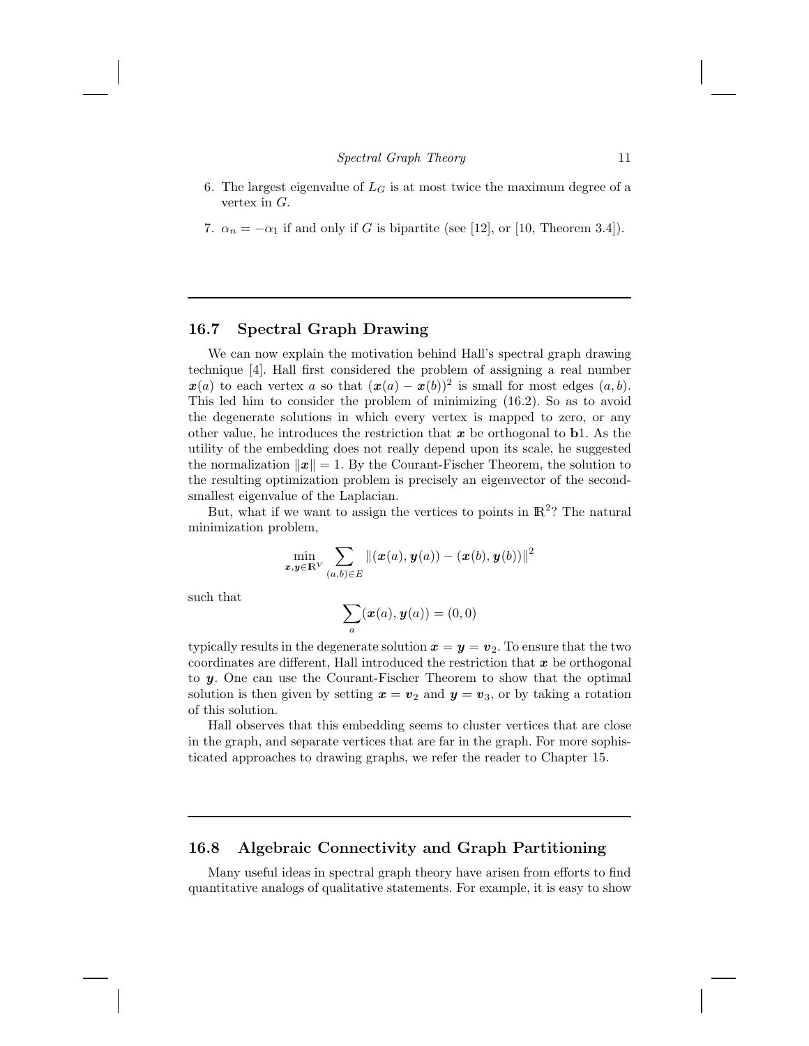- 6. The largest eigenvalue of  $L_G$  is at most twice the maximum degree of a vertex in G.
- 7.  $\alpha_n = -\alpha_1$  if and only if G is bipartite (see [12], or [10, Theorem 3.4]).

# 16.7 Spectral Graph Drawing

We can now explain the motivation behind Hall's spectral graph drawing technique [4]. Hall first considered the problem of assigning a real number  $x(a)$  to each vertex a so that  $(x(a) - x(b))^2$  is small for most edges  $(a, b)$ . This led him to consider the problem of minimizing (16.2). So as to avoid the degenerate solutions in which every vertex is mapped to zero, or any other value, he introduces the restriction that  $x$  be orthogonal to **b**1. As the utility of the embedding does not really depend upon its scale, he suggested the normalization  $||x|| = 1$ . By the Courant-Fischer Theorem, the solution to the resulting optimization problem is precisely an eigenvector of the secondsmallest eigenvalue of the Laplacian.

But, what if we want to assign the vertices to points in  $\mathbb{R}^2$ ? The natural minimization problem,

$$
\min_{\boldsymbol{x},\boldsymbol{y}\in\mathbf{R}^V}\sum_{(a,b)\in E}\left\|\left(\boldsymbol{x}(a),\boldsymbol{y}(a)\right)-\left(\boldsymbol{x}(b),\boldsymbol{y}(b)\right)\right\|^2
$$

such that

$$
\sum_a (\boldsymbol{x}(a), \boldsymbol{y}(a)) = (0,0)
$$

typically results in the degenerate solution  $x = y = v_2$ . To ensure that the two coordinates are different, Hall introduced the restriction that  $x$  be orthogonal to y. One can use the Courant-Fischer Theorem to show that the optimal solution is then given by setting  $x = v_2$  and  $y = v_3$ , or by taking a rotation of this solution.

Hall observes that this embedding seems to cluster vertices that are close in the graph, and separate vertices that are far in the graph. For more sophisticated approaches to drawing graphs, we refer the reader to Chapter 15.

# 16.8 Algebraic Connectivity and Graph Partitioning

Many useful ideas in spectral graph theory have arisen from efforts to find quantitative analogs of qualitative statements. For example, it is easy to show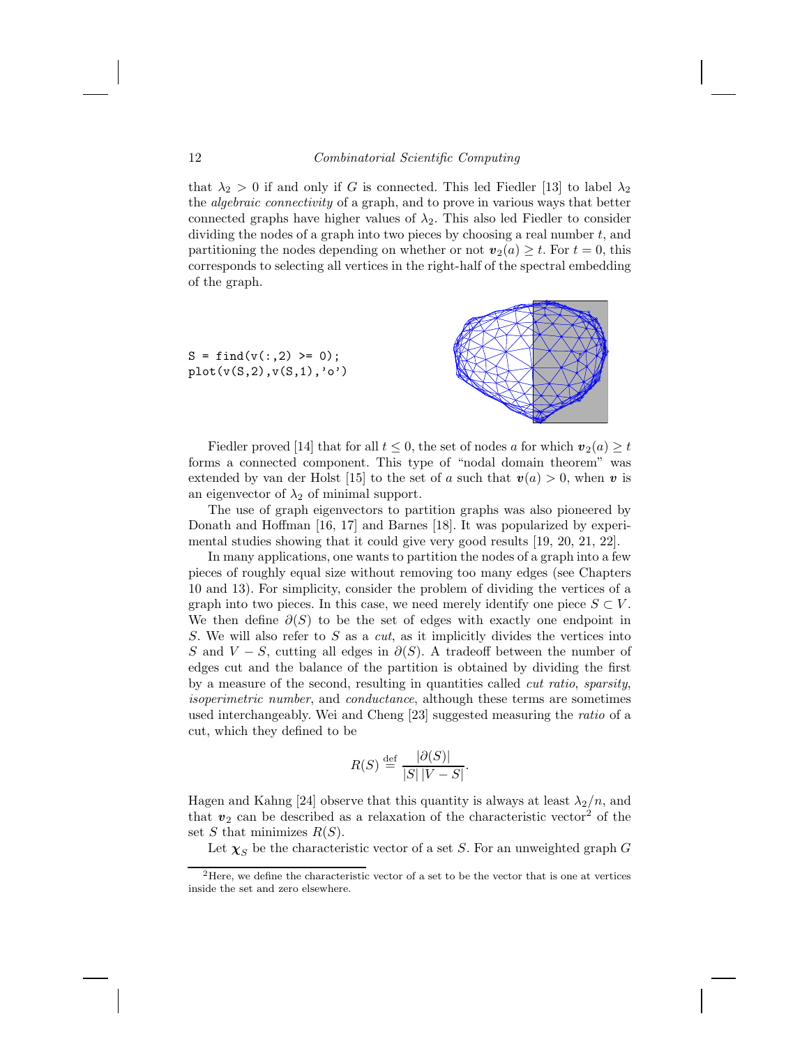that  $\lambda_2 > 0$  if and only if G is connected. This led Fiedler [13] to label  $\lambda_2$ the algebraic connectivity of a graph, and to prove in various ways that better connected graphs have higher values of  $\lambda_2$ . This also led Fiedler to consider dividing the nodes of a graph into two pieces by choosing a real number  $t$ , and partitioning the nodes depending on whether or not  $\mathbf{v}_2(a) \geq t$ . For  $t = 0$ , this corresponds to selecting all vertices in the right-half of the spectral embedding of the graph.

 $S = find(v(:, 2) >= 0);$  $plot(v(S,2), v(S,1), 'o')$ 



Fiedler proved [14] that for all  $t \leq 0$ , the set of nodes a for which  $v_2(a) \geq t$ forms a connected component. This type of "nodal domain theorem" was extended by van der Holst [15] to the set of a such that  $v(a) > 0$ , when v is an eigenvector of  $\lambda_2$  of minimal support.

The use of graph eigenvectors to partition graphs was also pioneered by Donath and Hoffman [16, 17] and Barnes [18]. It was popularized by experimental studies showing that it could give very good results [19, 20, 21, 22].

In many applications, one wants to partition the nodes of a graph into a few pieces of roughly equal size without removing too many edges (see Chapters 10 and 13). For simplicity, consider the problem of dividing the vertices of a graph into two pieces. In this case, we need merely identify one piece  $S \subset V$ . We then define  $\partial(S)$  to be the set of edges with exactly one endpoint in S. We will also refer to  $S$  as a cut, as it implicitly divides the vertices into S and  $V - S$ , cutting all edges in  $\partial(S)$ . A tradeoff between the number of edges cut and the balance of the partition is obtained by dividing the first by a measure of the second, resulting in quantities called cut ratio, sparsity, isoperimetric number, and conductance, although these terms are sometimes used interchangeably. Wei and Cheng [23] suggested measuring the ratio of a cut, which they defined to be

$$
R(S) \stackrel{\text{def}}{=} \frac{|\partial(S)|}{|S||V-S|}.
$$

Hagen and Kahng [24] observe that this quantity is always at least  $\lambda_2/n$ , and that  $v_2$  can be described as a relaxation of the characteristic vector<sup>2</sup> of the set S that minimizes  $R(S)$ .

Let  $\chi_S$  be the characteristic vector of a set S. For an unweighted graph G

<sup>&</sup>lt;sup>2</sup>Here, we define the characteristic vector of a set to be the vector that is one at vertices inside the set and zero elsewhere.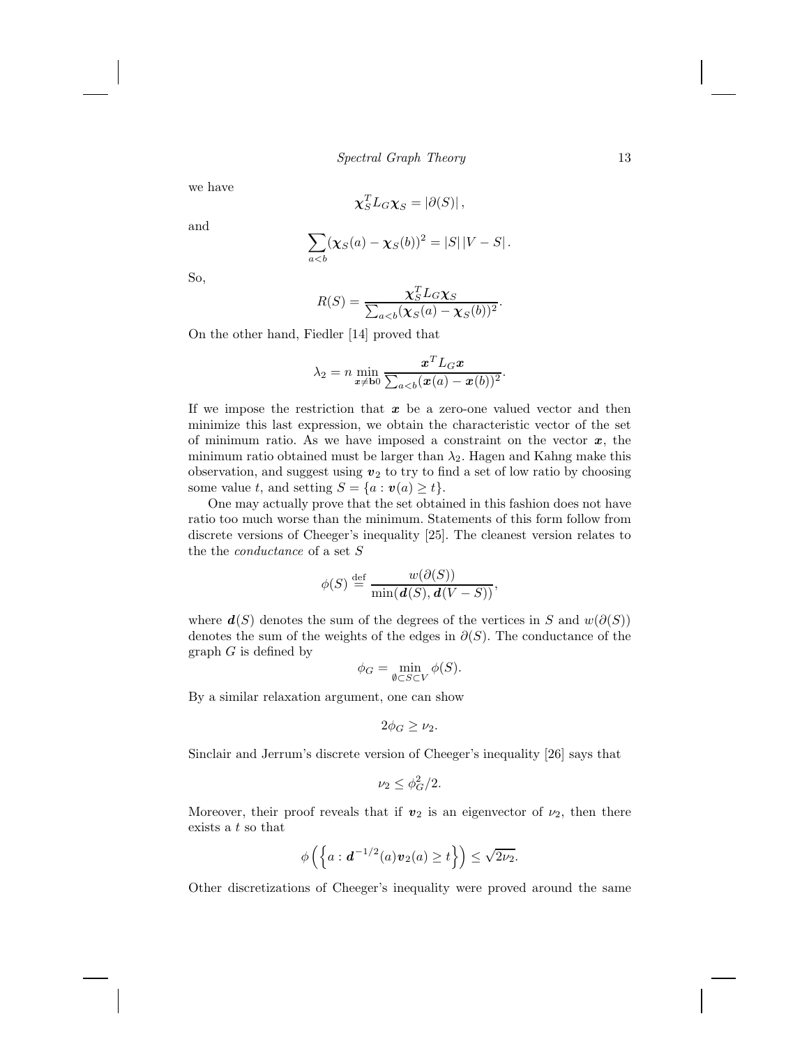we have

$$
\chi_S^T L_G \chi_S = |\partial(S)|,
$$

and

$$
\sum_{a
$$

So,

$$
R(S) = \frac{\chi_S^T L_G \chi_S}{\sum_{a
$$

On the other hand, Fiedler [14] proved that

$$
\lambda_2 = n \min_{\mathbf{x} \neq \mathbf{b}0} \frac{\mathbf{x}^T L_G \mathbf{x}}{\sum_{a < b} (\mathbf{x}(a) - \mathbf{x}(b))^2}.
$$

If we impose the restriction that  $x$  be a zero-one valued vector and then minimize this last expression, we obtain the characteristic vector of the set of minimum ratio. As we have imposed a constraint on the vector  $x$ , the minimum ratio obtained must be larger than  $\lambda_2$ . Hagen and Kahng make this observation, and suggest using  $v_2$  to try to find a set of low ratio by choosing some value t, and setting  $S = \{a : v(a) \ge t\}.$ 

One may actually prove that the set obtained in this fashion does not have ratio too much worse than the minimum. Statements of this form follow from discrete versions of Cheeger's inequality [25]. The cleanest version relates to the the conductance of a set S

$$
\phi(S) \stackrel{\text{def}}{=} \frac{w(\partial(S))}{\min(\mathbf{d}(S), \mathbf{d}(V-S))},
$$

where  $d(S)$  denotes the sum of the degrees of the vertices in S and  $w(\partial(S))$ denotes the sum of the weights of the edges in  $\partial(S)$ . The conductance of the graph  $G$  is defined by

$$
\phi_G = \min_{\emptyset \subset S \subset V} \phi(S).
$$

By a similar relaxation argument, one can show

$$
2\phi_G\geq \nu_2.
$$

Sinclair and Jerrum's discrete version of Cheeger's inequality [26] says that

$$
\nu_2 \leq \phi_G^2/2.
$$

Moreover, their proof reveals that if  $v_2$  is an eigenvector of  $\nu_2$ , then there exists a t so that

$$
\phi\left(\left\{a: \mathbf{d}^{-1/2}(a)\mathbf{v}_2(a)\geq t\right\}\right)\leq \sqrt{2\nu_2}.
$$

Other discretizations of Cheeger's inequality were proved around the same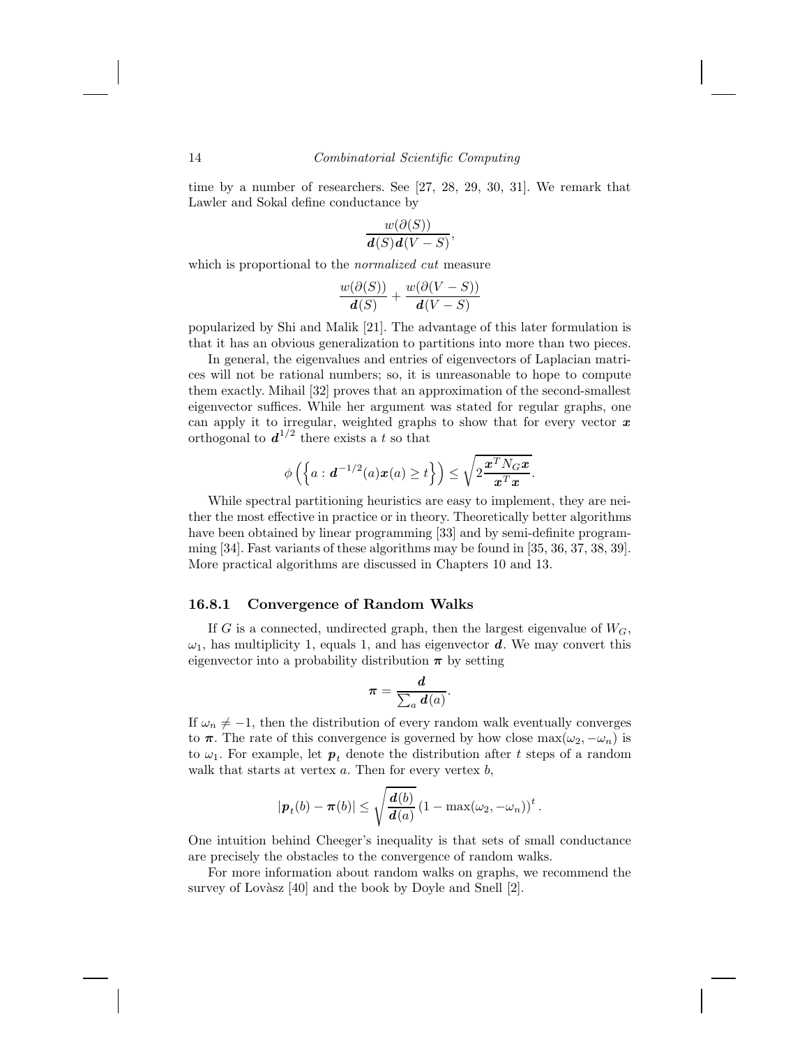time by a number of researchers. See [27, 28, 29, 30, 31]. We remark that Lawler and Sokal define conductance by

$$
\frac{w(\partial(S))}{d(S)d(V-S)}
$$

,

which is proportional to the *normalized cut* measure

$$
\frac{w(\partial(S))}{d(S)} + \frac{w(\partial(V-S))}{d(V-S)}
$$

popularized by Shi and Malik [21]. The advantage of this later formulation is that it has an obvious generalization to partitions into more than two pieces.

In general, the eigenvalues and entries of eigenvectors of Laplacian matrices will not be rational numbers; so, it is unreasonable to hope to compute them exactly. Mihail [32] proves that an approximation of the second-smallest eigenvector suffices. While her argument was stated for regular graphs, one can apply it to irregular, weighted graphs to show that for every vector  $x$ orthogonal to  $d^{1/2}$  there exists a t so that

$$
\phi\left(\left\{a: \boldsymbol{d}^{-1/2}(a)\boldsymbol{x}(a) \geq t\right\}\right) \leq \sqrt{2\frac{\boldsymbol{x}^TN_G\boldsymbol{x}}{\boldsymbol{x}^T\boldsymbol{x}}}.
$$

While spectral partitioning heuristics are easy to implement, they are neither the most effective in practice or in theory. Theoretically better algorithms have been obtained by linear programming [33] and by semi-definite programming [34]. Fast variants of these algorithms may be found in [35, 36, 37, 38, 39]. More practical algorithms are discussed in Chapters 10 and 13.

#### 16.8.1 Convergence of Random Walks

If G is a connected, undirected graph, then the largest eigenvalue of  $W_G$ ,  $\omega_1$ , has multiplicity 1, equals 1, and has eigenvector d. We may convert this eigenvector into a probability distribution  $\pi$  by setting

$$
\boldsymbol{\pi} = \frac{\boldsymbol{d}}{\sum_a \boldsymbol{d}(a)}.
$$

If  $\omega_n \neq -1$ , then the distribution of every random walk eventually converges to  $\pi$ . The rate of this convergence is governed by how close max $(\omega_2, -\omega_n)$  is to  $\omega_1$ . For example, let  $p_t$  denote the distribution after t steps of a random walk that starts at vertex  $a$ . Then for every vertex  $b$ ,

$$
|\boldsymbol{p}_t(b)-\boldsymbol{\pi}(b)|\leq \sqrt{\frac{\boldsymbol{d}(b)}{\boldsymbol{d}(a)}}\left(1-\max(\omega_2,-\omega_n)\right)^t.
$$

One intuition behind Cheeger's inequality is that sets of small conductance are precisely the obstacles to the convergence of random walks.

For more information about random walks on graphs, we recommend the survey of Lovàsz  $[40]$  and the book by Doyle and Snell  $[2]$ .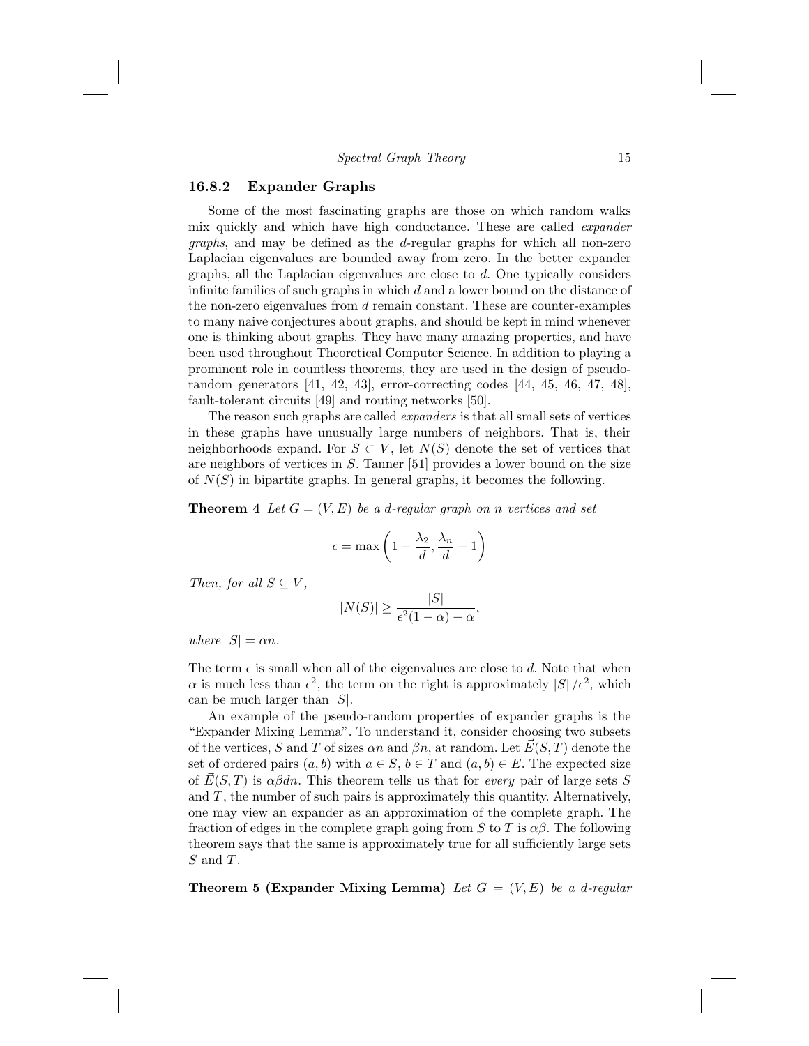#### 16.8.2 Expander Graphs

Some of the most fascinating graphs are those on which random walks mix quickly and which have high conductance. These are called *expander* graphs, and may be defined as the d-regular graphs for which all non-zero Laplacian eigenvalues are bounded away from zero. In the better expander graphs, all the Laplacian eigenvalues are close to  $d$ . One typically considers infinite families of such graphs in which  $d$  and a lower bound on the distance of the non-zero eigenvalues from  $d$  remain constant. These are counter-examples to many naive conjectures about graphs, and should be kept in mind whenever one is thinking about graphs. They have many amazing properties, and have been used throughout Theoretical Computer Science. In addition to playing a prominent role in countless theorems, they are used in the design of pseudorandom generators [41, 42, 43], error-correcting codes [44, 45, 46, 47, 48], fault-tolerant circuits [49] and routing networks [50].

The reason such graphs are called expanders is that all small sets of vertices in these graphs have unusually large numbers of neighbors. That is, their neighborhoods expand. For  $S \subset V$ , let  $N(S)$  denote the set of vertices that are neighbors of vertices in S. Tanner [51] provides a lower bound on the size of  $N(S)$  in bipartite graphs. In general graphs, it becomes the following.

# **Theorem 4** Let  $G = (V, E)$  be a d-regular graph on n vertices and set

$$
\epsilon = \max\left(1 - \frac{\lambda_2}{d}, \frac{\lambda_n}{d} - 1\right)
$$

Then, for all  $S \subseteq V$ ,

$$
|N(S)| \ge \frac{|S|}{\epsilon^2 (1 - \alpha) + \alpha},
$$

where  $|S| = \alpha n$ .

The term  $\epsilon$  is small when all of the eigenvalues are close to d. Note that when  $\alpha$  is much less than  $\epsilon^2$ , the term on the right is approximately  $|S|/\epsilon^2$ , which can be much larger than  $|S|$ .

An example of the pseudo-random properties of expander graphs is the "Expander Mixing Lemma". To understand it, consider choosing two subsets of the vertices, S and T of sizes  $\alpha n$  and  $\beta n$ , at random. Let  $\vec{E}(S,T)$  denote the set of ordered pairs  $(a, b)$  with  $a \in S$ ,  $b \in T$  and  $(a, b) \in E$ . The expected size of  $\vec{E}(S,T)$  is  $\alpha\beta dn$ . This theorem tells us that for *every* pair of large sets S and  $T$ , the number of such pairs is approximately this quantity. Alternatively, one may view an expander as an approximation of the complete graph. The fraction of edges in the complete graph going from S to T is  $\alpha\beta$ . The following theorem says that the same is approximately true for all sufficiently large sets  $S$  and  $T$ .

**Theorem 5 (Expander Mixing Lemma)** Let  $G = (V, E)$  be a d-regular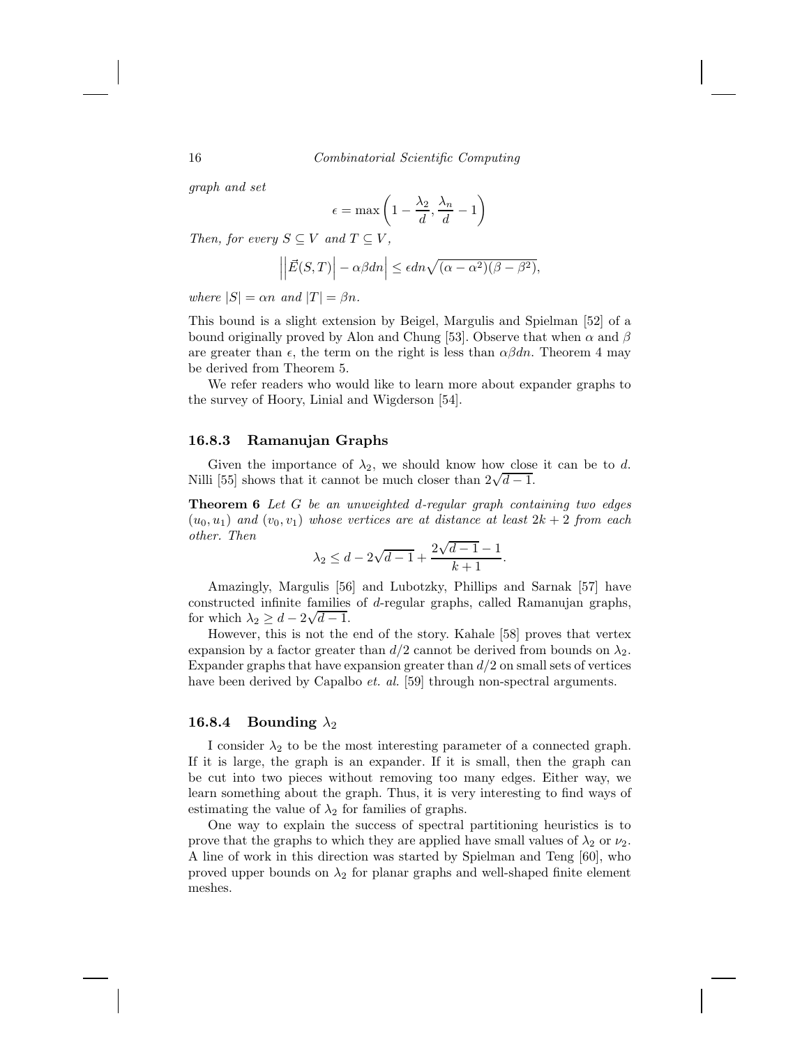graph and set

$$
\epsilon = \max\left(1 - \frac{\lambda_2}{d}, \frac{\lambda_n}{d} - 1\right)
$$

Then, for every  $S \subseteq V$  and  $T \subseteq V$ ,

$$
\left| \left| \vec{E}(S,T) \right| - \alpha \beta dn \right| \le \epsilon dn \sqrt{(\alpha - \alpha^2)(\beta - \beta^2)},
$$

where  $|S| = \alpha n$  and  $|T| = \beta n$ .

This bound is a slight extension by Beigel, Margulis and Spielman [52] of a bound originally proved by Alon and Chung [53]. Observe that when  $\alpha$  and  $\beta$ are greater than  $\epsilon$ , the term on the right is less than  $\alpha \beta dn$ . Theorem 4 may be derived from Theorem 5.

We refer readers who would like to learn more about expander graphs to the survey of Hoory, Linial and Wigderson [54].

#### 16.8.3 Ramanujan Graphs

Given the importance of  $\lambda_2$ , we should know how close it can be to d. Nilli [55] shows that it cannot be much closer than  $2\sqrt{d-1}$ .

**Theorem 6** Let  $G$  be an unweighted d-regular graph containing two edges  $(u_0, u_1)$  and  $(v_0, v_1)$  whose vertices are at distance at least  $2k + 2$  from each other. Then

$$
\lambda_2 \leq d-2\sqrt{d-1}+\frac{2\sqrt{d-1}-1}{k+1}.
$$

Amazingly, Margulis [56] and Lubotzky, Phillips and Sarnak [57] have constructed infinite families of d-regular graphs, called Ramanujan graphs, for which  $\lambda_2 \geq d - 2\sqrt{d-1}$ .

However, this is not the end of the story. Kahale [58] proves that vertex expansion by a factor greater than  $d/2$  cannot be derived from bounds on  $\lambda_2$ . Expander graphs that have expansion greater than  $d/2$  on small sets of vertices have been derived by Capalbo et. al. [59] through non-spectral arguments.

#### 16.8.4 Bounding  $\lambda_2$

I consider  $\lambda_2$  to be the most interesting parameter of a connected graph. If it is large, the graph is an expander. If it is small, then the graph can be cut into two pieces without removing too many edges. Either way, we learn something about the graph. Thus, it is very interesting to find ways of estimating the value of  $\lambda_2$  for families of graphs.

One way to explain the success of spectral partitioning heuristics is to prove that the graphs to which they are applied have small values of  $\lambda_2$  or  $\nu_2$ . A line of work in this direction was started by Spielman and Teng [60], who proved upper bounds on  $\lambda_2$  for planar graphs and well-shaped finite element meshes.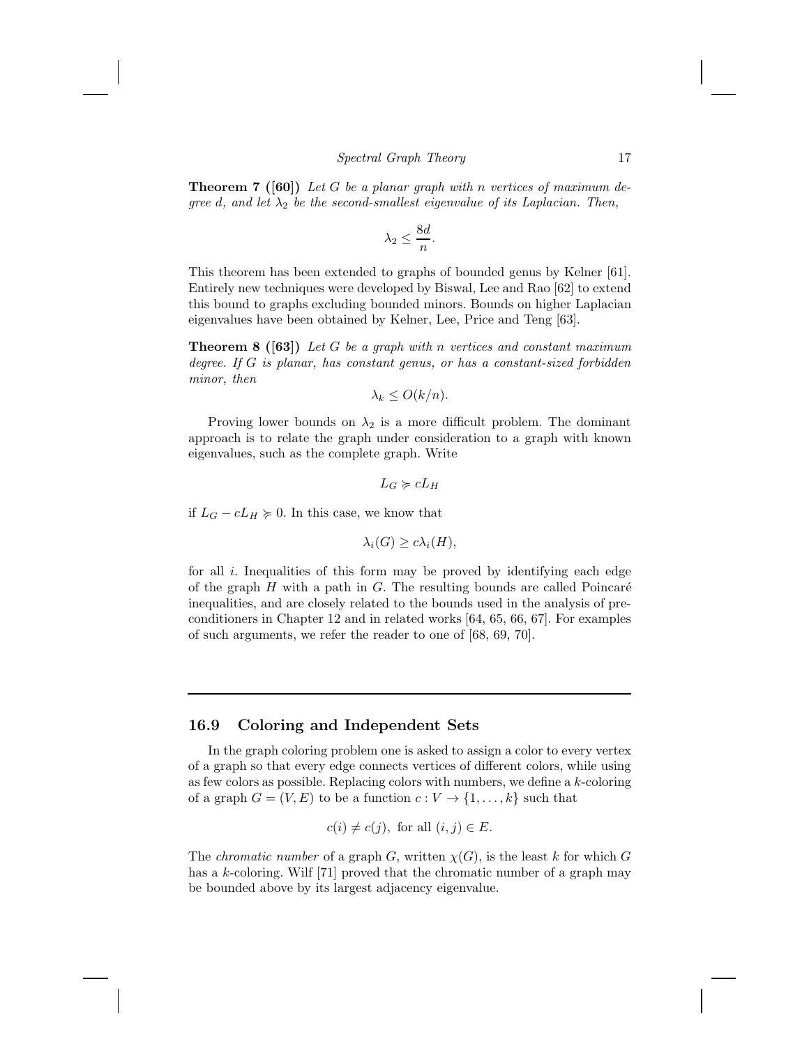**Theorem 7** ([60]) Let G be a planar graph with n vertices of maximum degree d, and let  $\lambda_2$  be the second-smallest eigenvalue of its Laplacian. Then,

$$
\lambda_2 \le \frac{8d}{n}.
$$

This theorem has been extended to graphs of bounded genus by Kelner [61]. Entirely new techniques were developed by Biswal, Lee and Rao [62] to extend this bound to graphs excluding bounded minors. Bounds on higher Laplacian eigenvalues have been obtained by Kelner, Lee, Price and Teng [63].

**Theorem 8** ([63]) Let G be a graph with n vertices and constant maximum degree. If G is planar, has constant genus, or has a constant-sized forbidden minor, then

$$
\lambda_k \le O(k/n).
$$

Proving lower bounds on  $\lambda_2$  is a more difficult problem. The dominant approach is to relate the graph under consideration to a graph with known eigenvalues, such as the complete graph. Write

$$
L_G \succcurlyeq cL_H
$$

if  $L_G - cL_H$  ≽ 0. In this case, we know that

 $\lambda_i(G) \geq c \lambda_i(H)$ ,

for all i. Inequalities of this form may be proved by identifying each edge of the graph  $H$  with a path in  $G$ . The resulting bounds are called Poincaré inequalities, and are closely related to the bounds used in the analysis of preconditioners in Chapter 12 and in related works [64, 65, 66, 67]. For examples of such arguments, we refer the reader to one of [68, 69, 70].

# 16.9 Coloring and Independent Sets

In the graph coloring problem one is asked to assign a color to every vertex of a graph so that every edge connects vertices of different colors, while using as few colors as possible. Replacing colors with numbers, we define a k-coloring of a graph  $G = (V, E)$  to be a function  $c: V \to \{1, \ldots, k\}$  such that

$$
c(i) \neq c(j), \text{ for all } (i,j) \in E.
$$

The *chromatic number* of a graph G, written  $\chi(G)$ , is the least k for which G has a  $k$ -coloring. Wilf [71] proved that the chromatic number of a graph may be bounded above by its largest adjacency eigenvalue.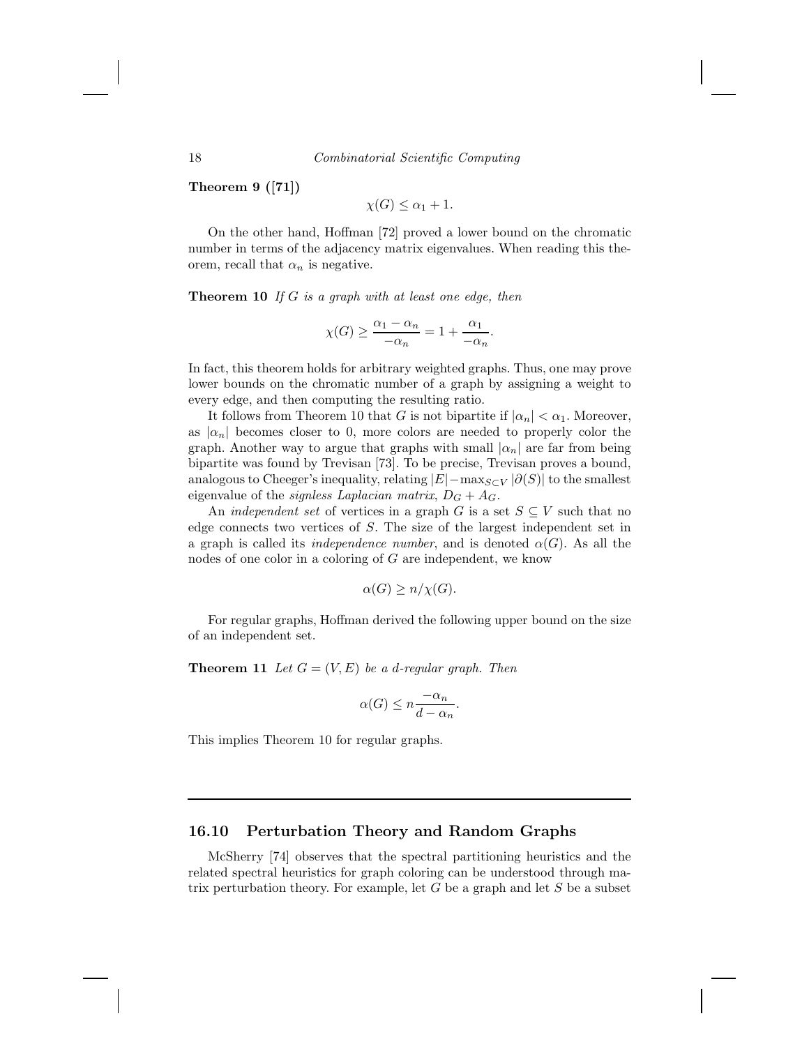Theorem 9 ([71])

 $\chi(G) \leq \alpha_1 + 1.$ 

On the other hand, Hoffman [72] proved a lower bound on the chromatic number in terms of the adjacency matrix eigenvalues. When reading this theorem, recall that  $\alpha_n$  is negative.

**Theorem 10** If  $G$  is a graph with at least one edge, then

$$
\chi(G) \ge \frac{\alpha_1 - \alpha_n}{-\alpha_n} = 1 + \frac{\alpha_1}{-\alpha_n}.
$$

In fact, this theorem holds for arbitrary weighted graphs. Thus, one may prove lower bounds on the chromatic number of a graph by assigning a weight to every edge, and then computing the resulting ratio.

It follows from Theorem 10 that G is not bipartite if  $|\alpha_n| < \alpha_1$ . Moreover, as  $|\alpha_n|$  becomes closer to 0, more colors are needed to properly color the graph. Another way to argue that graphs with small  $|\alpha_n|$  are far from being bipartite was found by Trevisan [73]. To be precise, Trevisan proves a bound, analogous to Cheeger's inequality, relating  $|E|-\max_{S\subset V}|\partial(S)|$  to the smallest eigenvalue of the *signless Laplacian matrix*,  $D_G + A_G$ .

An *independent set* of vertices in a graph G is a set  $S \subseteq V$  such that no edge connects two vertices of S. The size of the largest independent set in a graph is called its *independence number*, and is denoted  $\alpha(G)$ . As all the nodes of one color in a coloring of G are independent, we know

$$
\alpha(G) \ge n/\chi(G).
$$

For regular graphs, Hoffman derived the following upper bound on the size of an independent set.

**Theorem 11** Let  $G = (V, E)$  be a d-regular graph. Then

$$
\alpha(G) \le n \frac{-\alpha_n}{d - \alpha_n}.
$$

This implies Theorem 10 for regular graphs.

# 16.10 Perturbation Theory and Random Graphs

McSherry [74] observes that the spectral partitioning heuristics and the related spectral heuristics for graph coloring can be understood through matrix perturbation theory. For example, let  $G$  be a graph and let  $S$  be a subset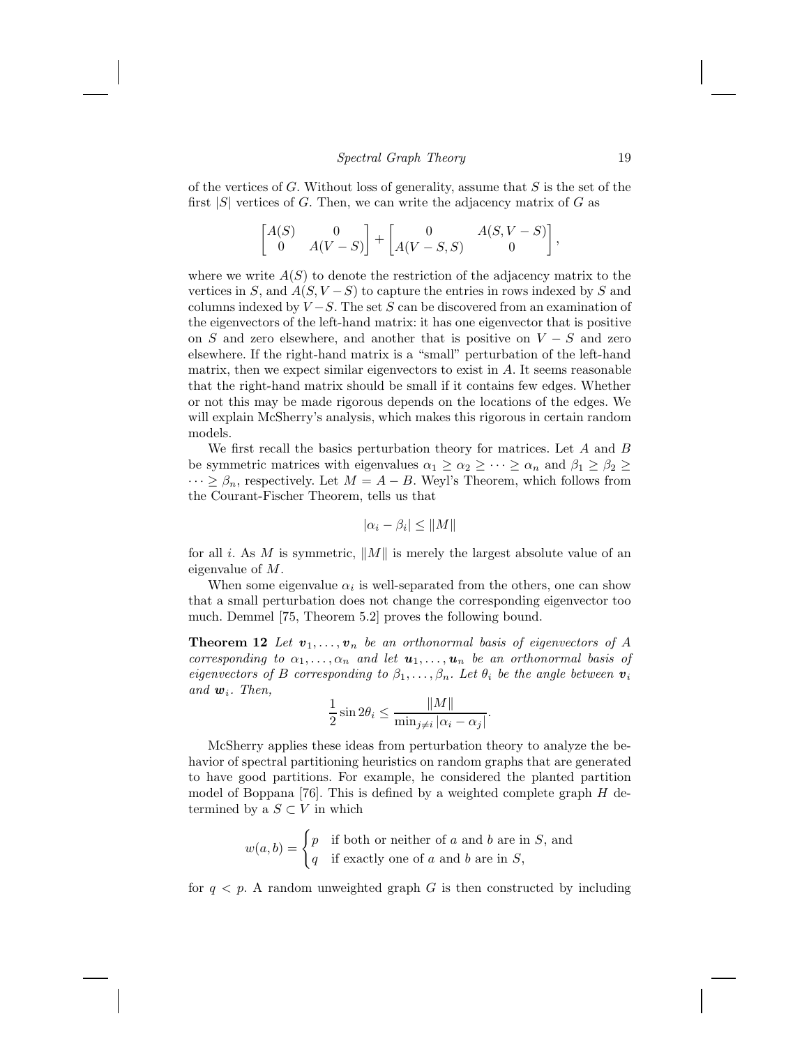of the vertices of  $G$ . Without loss of generality, assume that  $S$  is the set of the first  $|S|$  vertices of G. Then, we can write the adjacency matrix of G as

$$
\begin{bmatrix} A(S) & 0 \\ 0 & A(V-S) \end{bmatrix} + \begin{bmatrix} 0 & A(S,V-S) \\ A(V-S,S) & 0 \end{bmatrix},
$$

where we write  $A(S)$  to denote the restriction of the adjacency matrix to the vertices in S, and  $A(S, V - S)$  to capture the entries in rows indexed by S and columns indexed by  $V-S$ . The set S can be discovered from an examination of the eigenvectors of the left-hand matrix: it has one eigenvector that is positive on S and zero elsewhere, and another that is positive on  $V-S$  and zero elsewhere. If the right-hand matrix is a "small" perturbation of the left-hand matrix, then we expect similar eigenvectors to exist in A. It seems reasonable that the right-hand matrix should be small if it contains few edges. Whether or not this may be made rigorous depends on the locations of the edges. We will explain McSherry's analysis, which makes this rigorous in certain random models.

We first recall the basics perturbation theory for matrices. Let A and B be symmetric matrices with eigenvalues  $\alpha_1 \geq \alpha_2 \geq \cdots \geq \alpha_n$  and  $\beta_1 \geq \beta_2 \geq$  $\cdots \geq \beta_n$ , respectively. Let  $M = A - B$ . Weyl's Theorem, which follows from the Courant-Fischer Theorem, tells us that

$$
|\alpha_i - \beta_i| \le ||M||
$$

for all i. As M is symmetric,  $||M||$  is merely the largest absolute value of an eigenvalue of M.

When some eigenvalue  $\alpha_i$  is well-separated from the others, one can show that a small perturbation does not change the corresponding eigenvector too much. Demmel [75, Theorem 5.2] proves the following bound.

**Theorem 12** Let  $v_1, \ldots, v_n$  be an orthonormal basis of eigenvectors of A corresponding to  $\alpha_1,\ldots,\alpha_n$  and let  $\mathbf{u}_1,\ldots,\mathbf{u}_n$  be an orthonormal basis of eigenvectors of B corresponding to  $\beta_1,\ldots,\beta_n$ . Let  $\theta_i$  be the angle between  $\mathbf{v}_i$ and  $\mathbf{w}_i$ . Then,

$$
\frac{1}{2}\sin 2\theta_i \le \frac{\|M\|}{\min_{j\neq i} |\alpha_i - \alpha_j|}.
$$

McSherry applies these ideas from perturbation theory to analyze the behavior of spectral partitioning heuristics on random graphs that are generated to have good partitions. For example, he considered the planted partition model of Boppana [76]. This is defined by a weighted complete graph  $H$  determined by a  $S \subset V$  in which

$$
w(a, b) = \begin{cases} p & \text{if both or neither of } a \text{ and } b \text{ are in } S, \text{ and} \\ q & \text{if exactly one of } a \text{ and } b \text{ are in } S, \end{cases}
$$

for  $q < p$ . A random unweighted graph G is then constructed by including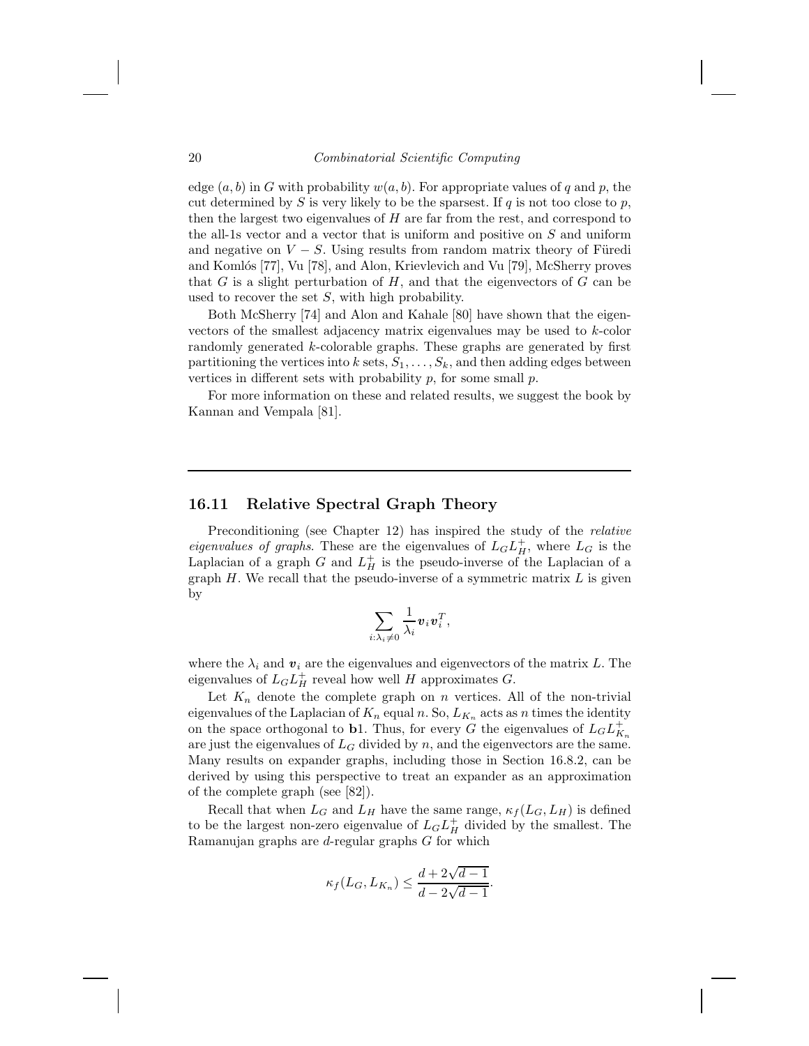edge  $(a, b)$  in G with probability  $w(a, b)$ . For appropriate values of q and p, the cut determined by S is very likely to be the sparsest. If  $q$  is not too close to  $p$ , then the largest two eigenvalues of  $H$  are far from the rest, and correspond to the all-1s vector and a vector that is uniform and positive on S and uniform and negative on  $V - S$ . Using results from random matrix theory of Füredi and Komlós [77], Vu [78], and Alon, Krievlevich and Vu [79], McSherry proves that G is a slight perturbation of H, and that the eigenvectors of G can be used to recover the set  $S$ , with high probability.

Both McSherry [74] and Alon and Kahale [80] have shown that the eigenvectors of the smallest adjacency matrix eigenvalues may be used to k-color randomly generated k-colorable graphs. These graphs are generated by first partitioning the vertices into  $k$  sets,  $S_1, \ldots, S_k$ , and then adding edges between vertices in different sets with probability  $p$ , for some small  $p$ .

For more information on these and related results, we suggest the book by Kannan and Vempala [81].

### 16.11 Relative Spectral Graph Theory

Preconditioning (see Chapter 12) has inspired the study of the relative *eigenvalues of graphs*. These are the eigenvalues of  $L_G L_H^+$ , where  $L_G$  is the Laplacian of a graph G and  $L_H^+$  is the pseudo-inverse of the Laplacian of a graph  $H$ . We recall that the pseudo-inverse of a symmetric matrix  $L$  is given by

$$
\sum_{i:\lambda_i\neq 0}\frac{1}{\lambda_i}\boldsymbol{v}_i\boldsymbol{v}_i^T,
$$

where the  $\lambda_i$  and  $\boldsymbol{v}_i$  are the eigenvalues and eigenvectors of the matrix L. The eigenvalues of  $L_G L_H^+$  reveal how well H approximates G.

Let  $K_n$  denote the complete graph on n vertices. All of the non-trivial eigenvalues of the Laplacian of  $K_n$  equal n. So,  $L_{K_n}$  acts as n times the identity on the space orthogonal to **b**1. Thus, for every G the eigenvalues of  $L_G L_{K_n}^+$ are just the eigenvalues of  $L_G$  divided by n, and the eigenvectors are the same. Many results on expander graphs, including those in Section 16.8.2, can be derived by using this perspective to treat an expander as an approximation of the complete graph (see [82]).

Recall that when  $L_G$  and  $L_H$  have the same range,  $\kappa_f(L_G, L_H)$  is defined to be the largest non-zero eigenvalue of  $L_G L_H^+$  divided by the smallest. The Ramanujan graphs are  $d$ -regular graphs  $G$  for which

$$
\kappa_f(L_G, L_{K_n}) \le \frac{d + 2\sqrt{d - 1}}{d - 2\sqrt{d - 1}}.
$$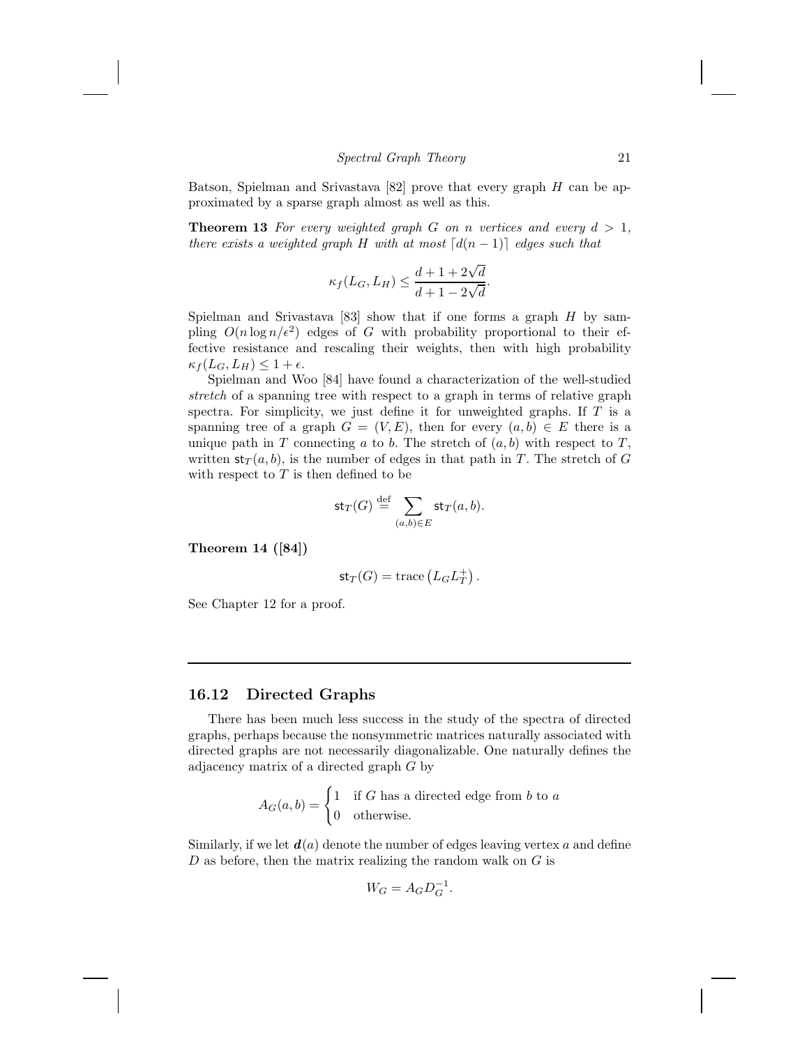Batson, Spielman and Srivastava [82] prove that every graph  $H$  can be approximated by a sparse graph almost as well as this.

**Theorem 13** For every weighted graph G on n vertices and every  $d > 1$ , there exists a weighted graph H with at most  $\lceil d(n-1) \rceil$  edges such that

$$
\kappa_f(L_G, L_H) \le \frac{d+1+2\sqrt{d}}{d+1-2\sqrt{d}}.
$$

Spielman and Srivastava [83] show that if one forms a graph  $H$  by sampling  $O(n \log n/\epsilon^2)$  edges of G with probability proportional to their effective resistance and rescaling their weights, then with high probability  $\kappa_f(L_G, L_H) \leq 1 + \epsilon.$ 

Spielman and Woo [84] have found a characterization of the well-studied stretch of a spanning tree with respect to a graph in terms of relative graph spectra. For simplicity, we just define it for unweighted graphs. If  $T$  is a spanning tree of a graph  $G = (V, E)$ , then for every  $(a, b) \in E$  there is a unique path in T connecting a to b. The stretch of  $(a, b)$  with respect to T, written  $\text{st}_T(a, b)$ , is the number of edges in that path in T. The stretch of G with respect to  $T$  is then defined to be

$$
\mathsf{st}_T(G) \stackrel{\text{def}}{=} \sum_{(a,b)\in E} \mathsf{st}_T(a,b).
$$

Theorem 14 ([84])

$$
\mathsf{st}_T(G) = \operatorname{trace} \left( L_G L_T^+ \right).
$$

See Chapter 12 for a proof.

### 16.12 Directed Graphs

There has been much less success in the study of the spectra of directed graphs, perhaps because the nonsymmetric matrices naturally associated with directed graphs are not necessarily diagonalizable. One naturally defines the adjacency matrix of a directed graph G by

$$
A_G(a, b) = \begin{cases} 1 & \text{if } G \text{ has a directed edge from } b \text{ to } a \\ 0 & \text{otherwise.} \end{cases}
$$

Similarly, if we let  $d(a)$  denote the number of edges leaving vertex a and define D as before, then the matrix realizing the random walk on  $G$  is

$$
W_G = A_G D_G^{-1}.
$$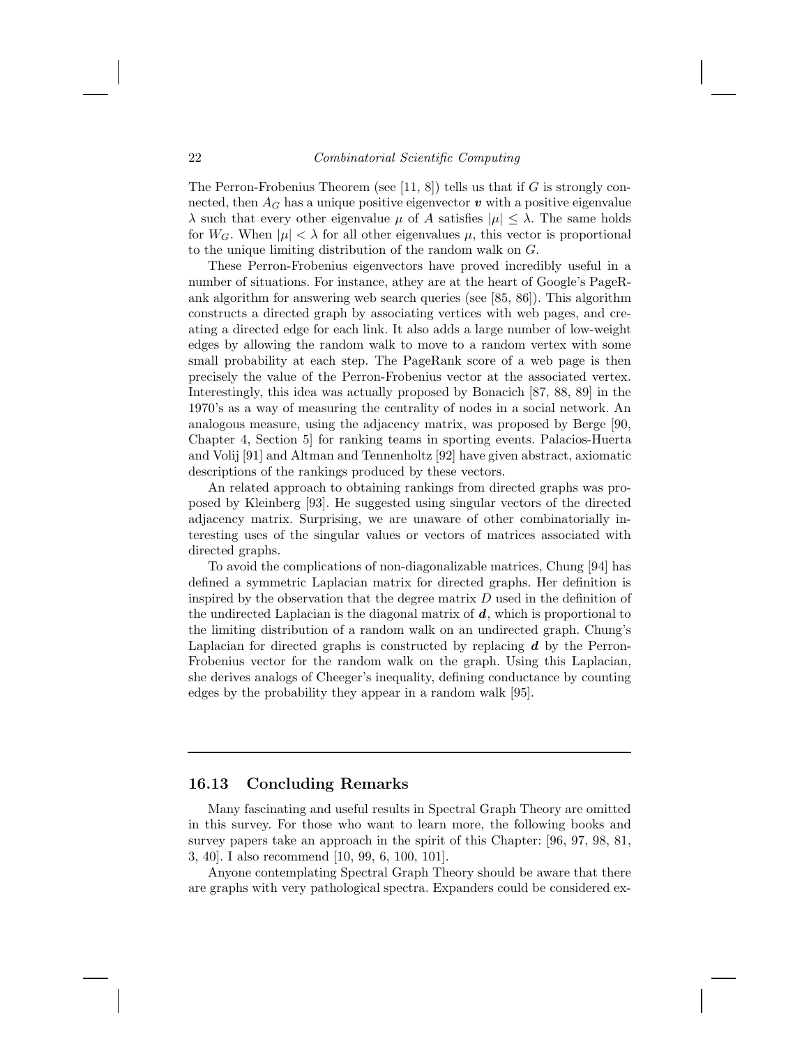The Perron-Frobenius Theorem (see [11, 8]) tells us that if  $G$  is strongly connected, then  $A_G$  has a unique positive eigenvector  $\boldsymbol{v}$  with a positive eigenvalue  $\lambda$  such that every other eigenvalue  $\mu$  of A satisfies  $|\mu| \leq \lambda$ . The same holds for  $W_G$ . When  $|\mu| < \lambda$  for all other eigenvalues  $\mu$ , this vector is proportional to the unique limiting distribution of the random walk on G.

These Perron-Frobenius eigenvectors have proved incredibly useful in a number of situations. For instance, athey are at the heart of Google's PageRank algorithm for answering web search queries (see [85, 86]). This algorithm constructs a directed graph by associating vertices with web pages, and creating a directed edge for each link. It also adds a large number of low-weight edges by allowing the random walk to move to a random vertex with some small probability at each step. The PageRank score of a web page is then precisely the value of the Perron-Frobenius vector at the associated vertex. Interestingly, this idea was actually proposed by Bonacich [87, 88, 89] in the 1970's as a way of measuring the centrality of nodes in a social network. An analogous measure, using the adjacency matrix, was proposed by Berge [90, Chapter 4, Section 5] for ranking teams in sporting events. Palacios-Huerta and Volij [91] and Altman and Tennenholtz [92] have given abstract, axiomatic descriptions of the rankings produced by these vectors.

An related approach to obtaining rankings from directed graphs was proposed by Kleinberg [93]. He suggested using singular vectors of the directed adjacency matrix. Surprising, we are unaware of other combinatorially interesting uses of the singular values or vectors of matrices associated with directed graphs.

To avoid the complications of non-diagonalizable matrices, Chung [94] has defined a symmetric Laplacian matrix for directed graphs. Her definition is inspired by the observation that the degree matrix  $D$  used in the definition of the undirected Laplacian is the diagonal matrix of  $d$ , which is proportional to the limiting distribution of a random walk on an undirected graph. Chung's Laplacian for directed graphs is constructed by replacing  $d$  by the Perron-Frobenius vector for the random walk on the graph. Using this Laplacian, she derives analogs of Cheeger's inequality, defining conductance by counting edges by the probability they appear in a random walk [95].

# 16.13 Concluding Remarks

Many fascinating and useful results in Spectral Graph Theory are omitted in this survey. For those who want to learn more, the following books and survey papers take an approach in the spirit of this Chapter: [96, 97, 98, 81, 3, 40]. I also recommend [10, 99, 6, 100, 101].

Anyone contemplating Spectral Graph Theory should be aware that there are graphs with very pathological spectra. Expanders could be considered ex-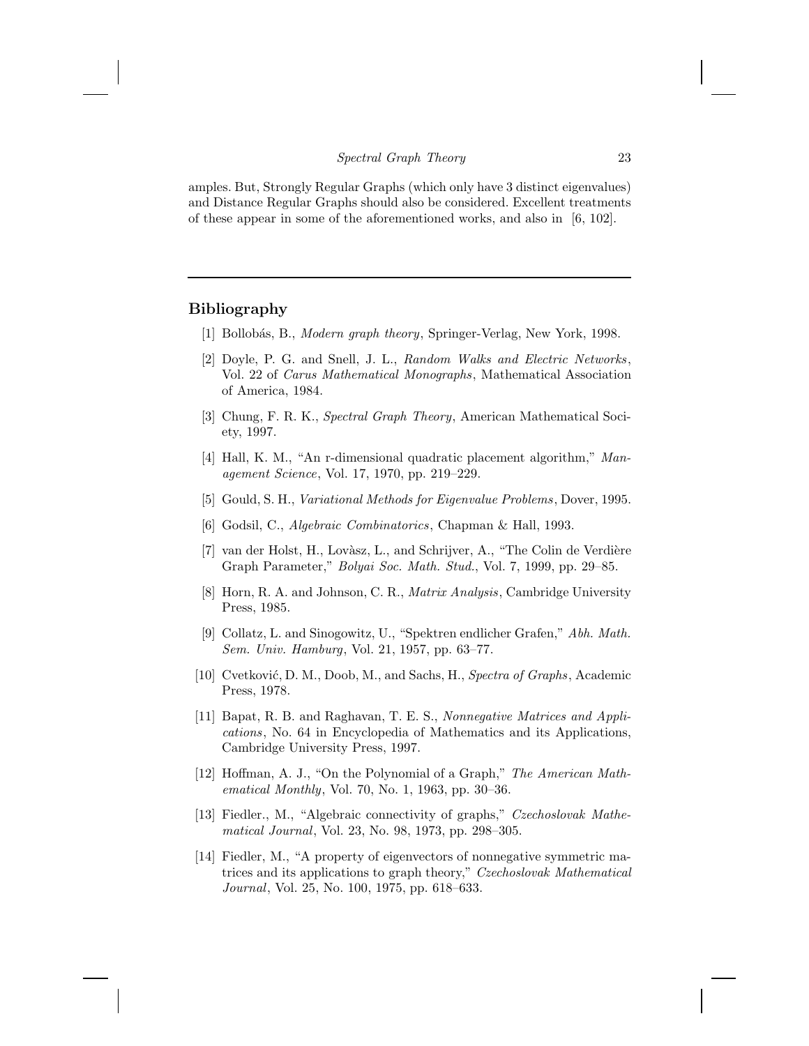amples. But, Strongly Regular Graphs (which only have 3 distinct eigenvalues) and Distance Regular Graphs should also be considered. Excellent treatments of these appear in some of the aforementioned works, and also in [6, 102].

# Bibliography

- [1] Bollobás, B., Modern graph theory, Springer-Verlag, New York, 1998.
- [2] Doyle, P. G. and Snell, J. L., Random Walks and Electric Networks, Vol. 22 of Carus Mathematical Monographs, Mathematical Association of America, 1984.
- [3] Chung, F. R. K., Spectral Graph Theory, American Mathematical Society, 1997.
- [4] Hall, K. M., "An r-dimensional quadratic placement algorithm," Management Science, Vol. 17, 1970, pp. 219–229.
- [5] Gould, S. H., *Variational Methods for Eigenvalue Problems*, Dover, 1995.
- [6] Godsil, C., Algebraic Combinatorics, Chapman & Hall, 1993.
- [7] van der Holst, H., Lovàsz, L., and Schrijver, A., "The Colin de Verdière Graph Parameter," Bolyai Soc. Math. Stud., Vol. 7, 1999, pp. 29–85.
- [8] Horn, R. A. and Johnson, C. R., Matrix Analysis, Cambridge University Press, 1985.
- [9] Collatz, L. and Sinogowitz, U., "Spektren endlicher Grafen," Abh. Math. Sem. Univ. Hamburg, Vol. 21, 1957, pp. 63–77.
- [10] Cvetković, D. M., Doob, M., and Sachs, H., Spectra of Graphs, Academic Press, 1978.
- [11] Bapat, R. B. and Raghavan, T. E. S., Nonnegative Matrices and Applications, No. 64 in Encyclopedia of Mathematics and its Applications, Cambridge University Press, 1997.
- [12] Hoffman, A. J., "On the Polynomial of a Graph," The American Mathematical Monthly, Vol. 70, No. 1, 1963, pp. 30–36.
- [13] Fiedler., M., "Algebraic connectivity of graphs," Czechoslovak Mathematical Journal, Vol. 23, No. 98, 1973, pp. 298–305.
- [14] Fiedler, M., "A property of eigenvectors of nonnegative symmetric matrices and its applications to graph theory," Czechoslovak Mathematical Journal, Vol. 25, No. 100, 1975, pp. 618–633.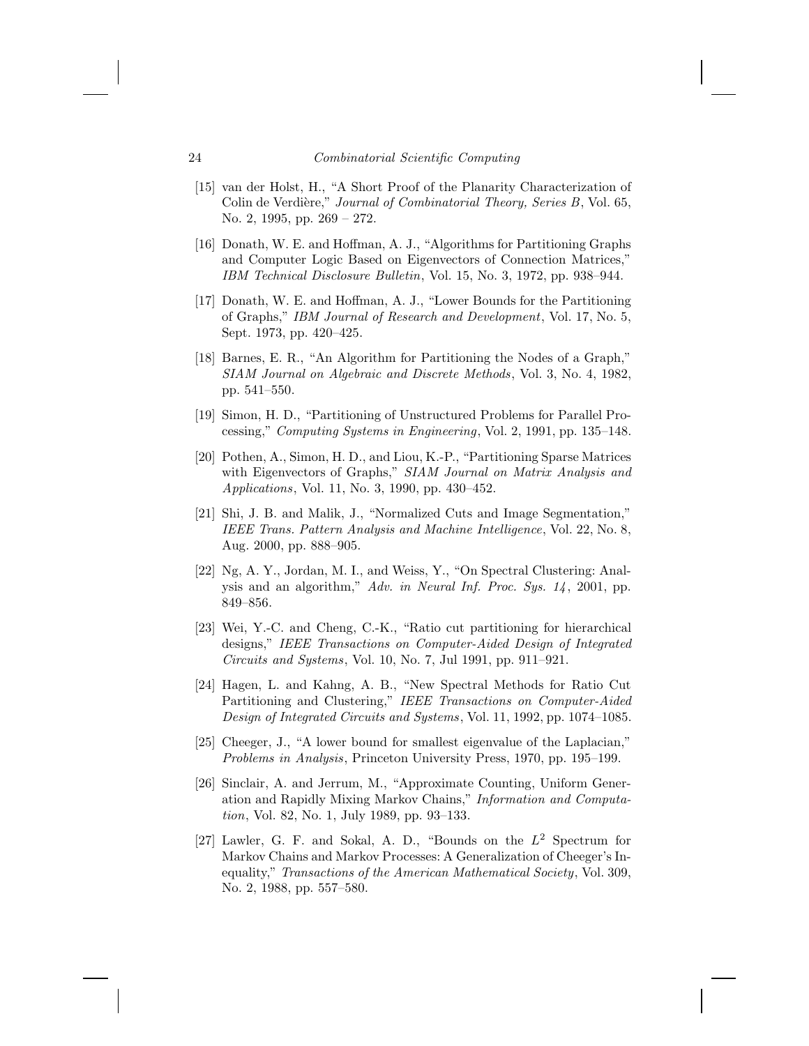- [15] van der Holst, H., "A Short Proof of the Planarity Characterization of Colin de Verdière," Journal of Combinatorial Theory, Series B, Vol. 65, No. 2, 1995, pp. 269 – 272.
- [16] Donath, W. E. and Hoffman, A. J., "Algorithms for Partitioning Graphs and Computer Logic Based on Eigenvectors of Connection Matrices," IBM Technical Disclosure Bulletin, Vol. 15, No. 3, 1972, pp. 938–944.
- [17] Donath, W. E. and Hoffman, A. J., "Lower Bounds for the Partitioning of Graphs," IBM Journal of Research and Development, Vol. 17, No. 5, Sept. 1973, pp. 420–425.
- [18] Barnes, E. R., "An Algorithm for Partitioning the Nodes of a Graph," SIAM Journal on Algebraic and Discrete Methods, Vol. 3, No. 4, 1982, pp. 541–550.
- [19] Simon, H. D., "Partitioning of Unstructured Problems for Parallel Processing," Computing Systems in Engineering, Vol. 2, 1991, pp. 135–148.
- [20] Pothen, A., Simon, H. D., and Liou, K.-P., "Partitioning Sparse Matrices with Eigenvectors of Graphs," SIAM Journal on Matrix Analysis and Applications, Vol. 11, No. 3, 1990, pp. 430–452.
- [21] Shi, J. B. and Malik, J., "Normalized Cuts and Image Segmentation," IEEE Trans. Pattern Analysis and Machine Intelligence, Vol. 22, No. 8, Aug. 2000, pp. 888–905.
- [22] Ng, A. Y., Jordan, M. I., and Weiss, Y., "On Spectral Clustering: Analysis and an algorithm," Adv. in Neural Inf. Proc. Sys. 14, 2001, pp. 849–856.
- [23] Wei, Y.-C. and Cheng, C.-K., "Ratio cut partitioning for hierarchical designs," IEEE Transactions on Computer-Aided Design of Integrated Circuits and Systems, Vol. 10, No. 7, Jul 1991, pp. 911–921.
- [24] Hagen, L. and Kahng, A. B., "New Spectral Methods for Ratio Cut Partitioning and Clustering," IEEE Transactions on Computer-Aided Design of Integrated Circuits and Systems, Vol. 11, 1992, pp. 1074–1085.
- [25] Cheeger, J., "A lower bound for smallest eigenvalue of the Laplacian," Problems in Analysis, Princeton University Press, 1970, pp. 195–199.
- [26] Sinclair, A. and Jerrum, M., "Approximate Counting, Uniform Generation and Rapidly Mixing Markov Chains," Information and Computation, Vol. 82, No. 1, July 1989, pp. 93–133.
- [27] Lawler, G. F. and Sokal, A. D., "Bounds on the  $L^2$  Spectrum for Markov Chains and Markov Processes: A Generalization of Cheeger's Inequality," Transactions of the American Mathematical Society, Vol. 309, No. 2, 1988, pp. 557–580.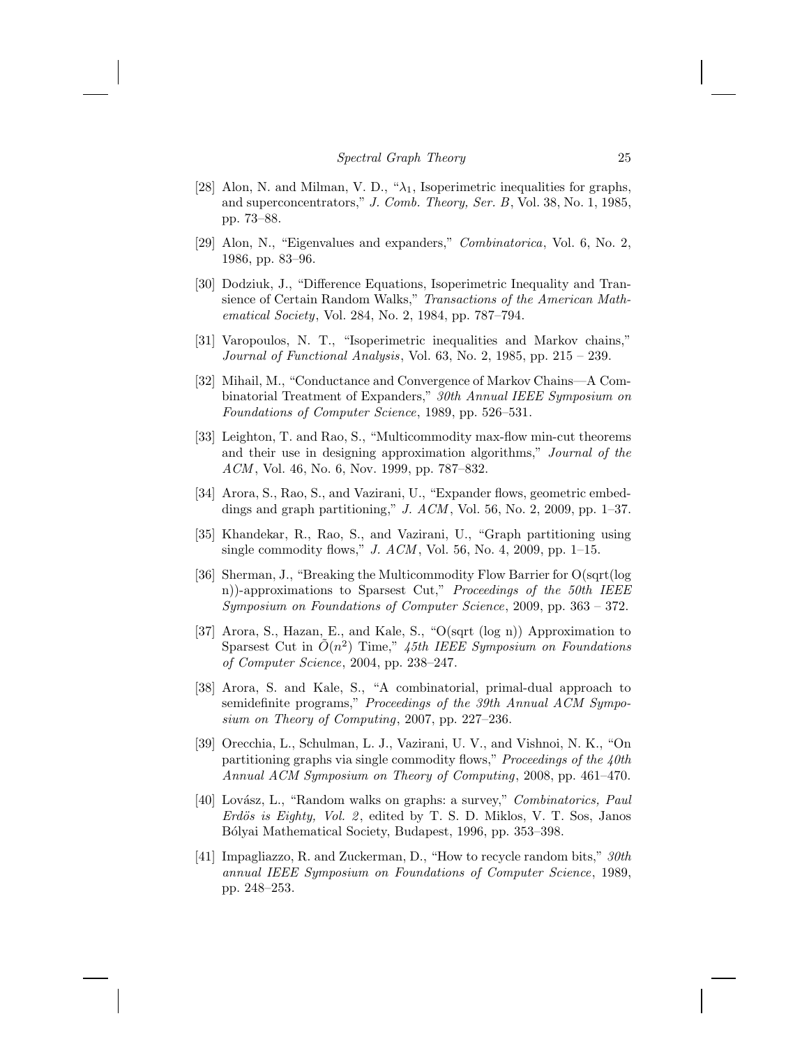- [28] Alon, N. and Milman, V. D., " $\lambda_1$ , Isoperimetric inequalities for graphs, and superconcentrators," J. Comb. Theory, Ser. B, Vol. 38, No. 1, 1985, pp. 73–88.
- [29] Alon, N., "Eigenvalues and expanders," Combinatorica, Vol. 6, No. 2, 1986, pp. 83–96.
- [30] Dodziuk, J., "Difference Equations, Isoperimetric Inequality and Transience of Certain Random Walks," Transactions of the American Mathematical Society, Vol. 284, No. 2, 1984, pp. 787–794.
- [31] Varopoulos, N. T., "Isoperimetric inequalities and Markov chains," Journal of Functional Analysis, Vol. 63, No. 2, 1985, pp. 215 – 239.
- [32] Mihail, M., "Conductance and Convergence of Markov Chains—A Combinatorial Treatment of Expanders," 30th Annual IEEE Symposium on Foundations of Computer Science, 1989, pp. 526–531.
- [33] Leighton, T. and Rao, S., "Multicommodity max-flow min-cut theorems and their use in designing approximation algorithms," Journal of the ACM, Vol. 46, No. 6, Nov. 1999, pp. 787–832.
- [34] Arora, S., Rao, S., and Vazirani, U., "Expander flows, geometric embeddings and graph partitioning,"  $J.$   $ACM$ , Vol. 56, No. 2, 2009, pp. 1–37.
- [35] Khandekar, R., Rao, S., and Vazirani, U., "Graph partitioning using single commodity flows,"  $J.$   $ACM$ , Vol. 56, No. 4, 2009, pp. 1–15.
- [36] Sherman, J., "Breaking the Multicommodity Flow Barrier for O(sqrt(log n))-approximations to Sparsest Cut," Proceedings of the 50th IEEE Symposium on Foundations of Computer Science, 2009, pp. 363 – 372.
- [37] Arora, S., Hazan, E., and Kale, S., "O(sqrt (log n)) Approximation to Sparsest Cut in  $\tilde{O}(n^2)$  Time," 45th IEEE Symposium on Foundations of Computer Science, 2004, pp. 238–247.
- [38] Arora, S. and Kale, S., "A combinatorial, primal-dual approach to semidefinite programs," Proceedings of the 39th Annual ACM Symposium on Theory of Computing, 2007, pp. 227–236.
- [39] Orecchia, L., Schulman, L. J., Vazirani, U. V., and Vishnoi, N. K., "On partitioning graphs via single commodity flows," Proceedings of the  $40$ th Annual ACM Symposium on Theory of Computing, 2008, pp. 461–470.
- [40] Lovász, L., "Random walks on graphs: a survey," *Combinatorics*, *Paul* Erdös is Eighty, Vol. 2, edited by T. S. D. Miklos, V. T. Sos, Janos Bólyai Mathematical Society, Budapest, 1996, pp. 353–398.
- [41] Impagliazzo, R. and Zuckerman, D., "How to recycle random bits,"  $30th$ annual IEEE Symposium on Foundations of Computer Science, 1989, pp. 248–253.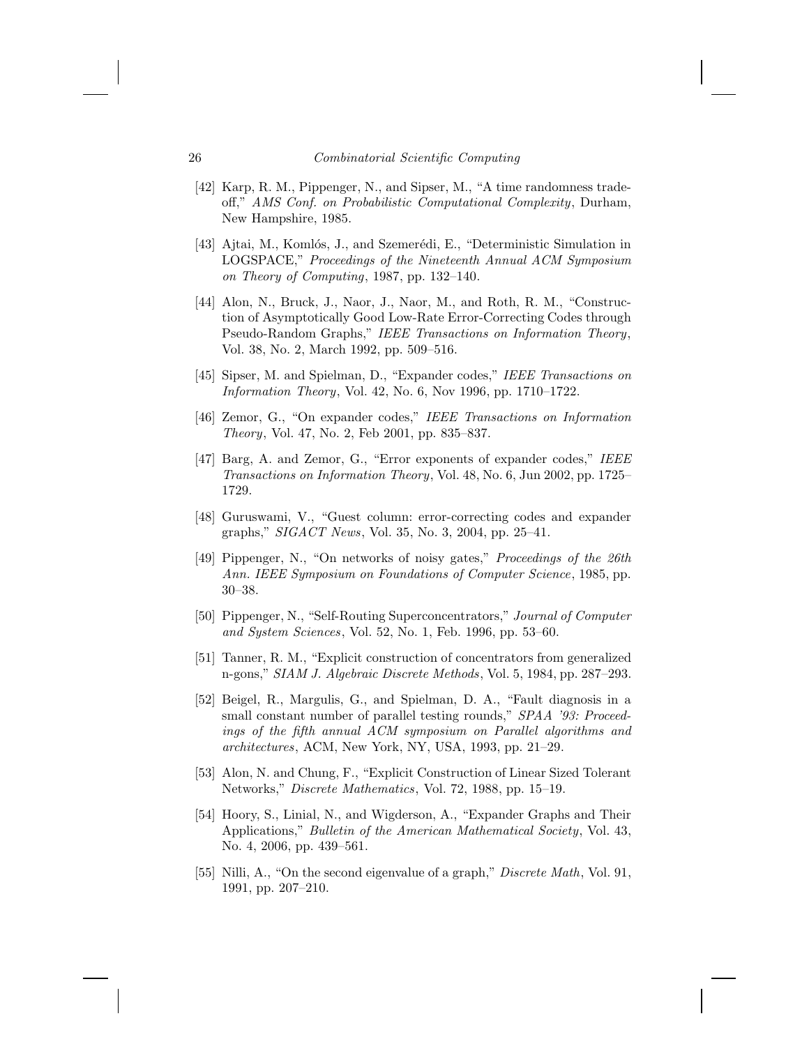- [42] Karp, R. M., Pippenger, N., and Sipser, M., "A time randomness tradeoff," AMS Conf. on Probabilistic Computational Complexity, Durham, New Hampshire, 1985.
- [43] Ajtai, M., Komlós, J., and Szemerédi, E., "Deterministic Simulation in LOGSPACE," Proceedings of the Nineteenth Annual ACM Symposium on Theory of Computing, 1987, pp. 132–140.
- [44] Alon, N., Bruck, J., Naor, J., Naor, M., and Roth, R. M., "Construction of Asymptotically Good Low-Rate Error-Correcting Codes through Pseudo-Random Graphs," IEEE Transactions on Information Theory, Vol. 38, No. 2, March 1992, pp. 509–516.
- [45] Sipser, M. and Spielman, D., "Expander codes," IEEE Transactions on Information Theory, Vol. 42, No. 6, Nov 1996, pp. 1710–1722.
- [46] Zemor, G., "On expander codes," IEEE Transactions on Information Theory, Vol. 47, No. 2, Feb 2001, pp. 835–837.
- [47] Barg, A. and Zemor, G., "Error exponents of expander codes," IEEE Transactions on Information Theory, Vol. 48, No. 6, Jun 2002, pp. 1725– 1729.
- [48] Guruswami, V., "Guest column: error-correcting codes and expander graphs," SIGACT News, Vol. 35, No. 3, 2004, pp. 25–41.
- [49] Pippenger, N., "On networks of noisy gates," Proceedings of the 26th Ann. IEEE Symposium on Foundations of Computer Science, 1985, pp. 30–38.
- [50] Pippenger, N., "Self-Routing Superconcentrators," Journal of Computer and System Sciences, Vol. 52, No. 1, Feb. 1996, pp. 53–60.
- [51] Tanner, R. M., "Explicit construction of concentrators from generalized n-gons," SIAM J. Algebraic Discrete Methods, Vol. 5, 1984, pp. 287–293.
- [52] Beigel, R., Margulis, G., and Spielman, D. A., "Fault diagnosis in a small constant number of parallel testing rounds," SPAA '93: Proceedings of the fifth annual ACM symposium on Parallel algorithms and architectures, ACM, New York, NY, USA, 1993, pp. 21–29.
- [53] Alon, N. and Chung, F., "Explicit Construction of Linear Sized Tolerant Networks," Discrete Mathematics, Vol. 72, 1988, pp. 15–19.
- [54] Hoory, S., Linial, N., and Wigderson, A., "Expander Graphs and Their Applications," Bulletin of the American Mathematical Society, Vol. 43, No. 4, 2006, pp. 439–561.
- [55] Nilli, A., "On the second eigenvalue of a graph," *Discrete Math*, Vol. 91, 1991, pp. 207–210.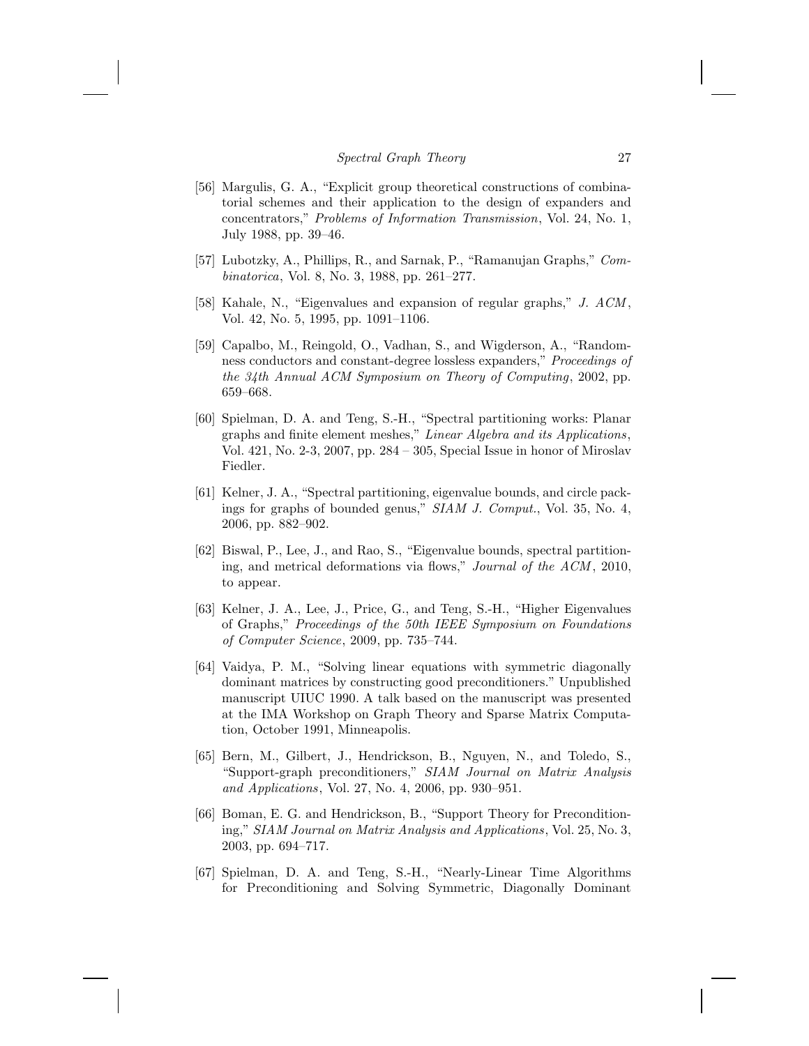- [56] Margulis, G. A., "Explicit group theoretical constructions of combinatorial schemes and their application to the design of expanders and concentrators," Problems of Information Transmission, Vol. 24, No. 1, July 1988, pp. 39–46.
- [57] Lubotzky, A., Phillips, R., and Sarnak, P., "Ramanujan Graphs," Combinatorica, Vol. 8, No. 3, 1988, pp. 261–277.
- [58] Kahale, N., "Eigenvalues and expansion of regular graphs," J. ACM , Vol. 42, No. 5, 1995, pp. 1091–1106.
- [59] Capalbo, M., Reingold, O., Vadhan, S., and Wigderson, A., "Randomness conductors and constant-degree lossless expanders," Proceedings of the 34th Annual ACM Symposium on Theory of Computing, 2002, pp. 659–668.
- [60] Spielman, D. A. and Teng, S.-H., "Spectral partitioning works: Planar graphs and finite element meshes," Linear Algebra and its Applications, Vol. 421, No. 2-3, 2007, pp. 284 – 305, Special Issue in honor of Miroslav Fiedler.
- [61] Kelner, J. A., "Spectral partitioning, eigenvalue bounds, and circle packings for graphs of bounded genus," SIAM J. Comput., Vol. 35, No. 4, 2006, pp. 882–902.
- [62] Biswal, P., Lee, J., and Rao, S., "Eigenvalue bounds, spectral partitioning, and metrical deformations via flows," Journal of the ACM , 2010, to appear.
- [63] Kelner, J. A., Lee, J., Price, G., and Teng, S.-H., "Higher Eigenvalues of Graphs," Proceedings of the 50th IEEE Symposium on Foundations of Computer Science, 2009, pp. 735–744.
- [64] Vaidya, P. M., "Solving linear equations with symmetric diagonally dominant matrices by constructing good preconditioners." Unpublished manuscript UIUC 1990. A talk based on the manuscript was presented at the IMA Workshop on Graph Theory and Sparse Matrix Computation, October 1991, Minneapolis.
- [65] Bern, M., Gilbert, J., Hendrickson, B., Nguyen, N., and Toledo, S., "Support-graph preconditioners," SIAM Journal on Matrix Analysis and Applications, Vol. 27, No. 4, 2006, pp. 930–951.
- [66] Boman, E. G. and Hendrickson, B., "Support Theory for Preconditioning," SIAM Journal on Matrix Analysis and Applications, Vol. 25, No. 3, 2003, pp. 694–717.
- [67] Spielman, D. A. and Teng, S.-H., "Nearly-Linear Time Algorithms for Preconditioning and Solving Symmetric, Diagonally Dominant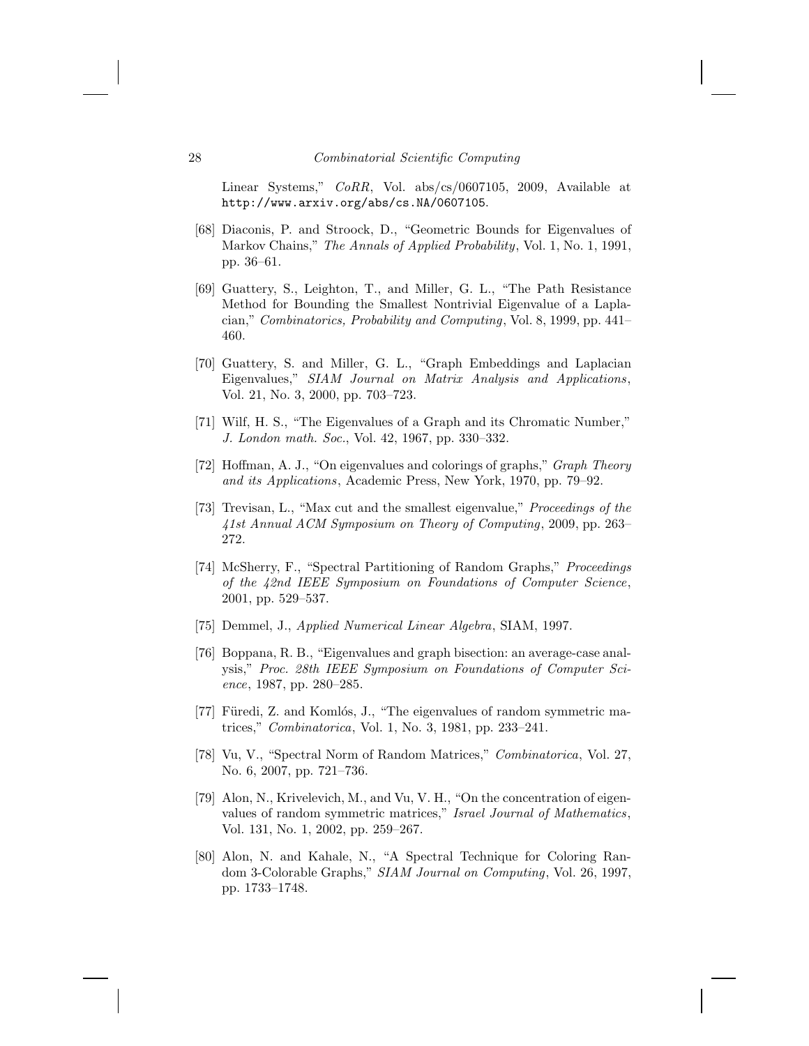Linear Systems," CoRR, Vol. abs/cs/0607105, 2009, Available at http://www.arxiv.org/abs/cs.NA/0607105.

- [68] Diaconis, P. and Stroock, D., "Geometric Bounds for Eigenvalues of Markov Chains," The Annals of Applied Probability, Vol. 1, No. 1, 1991, pp. 36–61.
- [69] Guattery, S., Leighton, T., and Miller, G. L., "The Path Resistance Method for Bounding the Smallest Nontrivial Eigenvalue of a Laplacian," Combinatorics, Probability and Computing, Vol. 8, 1999, pp. 441– 460.
- [70] Guattery, S. and Miller, G. L., "Graph Embeddings and Laplacian Eigenvalues," SIAM Journal on Matrix Analysis and Applications, Vol. 21, No. 3, 2000, pp. 703–723.
- [71] Wilf, H. S., "The Eigenvalues of a Graph and its Chromatic Number," J. London math. Soc., Vol. 42, 1967, pp. 330–332.
- [72] Hoffman, A. J., "On eigenvalues and colorings of graphs," Graph Theory and its Applications, Academic Press, New York, 1970, pp. 79–92.
- [73] Trevisan, L., "Max cut and the smallest eigenvalue," Proceedings of the 41st Annual ACM Symposium on Theory of Computing, 2009, pp. 263– 272.
- [74] McSherry, F., "Spectral Partitioning of Random Graphs," Proceedings of the 42nd IEEE Symposium on Foundations of Computer Science, 2001, pp. 529–537.
- [75] Demmel, J., Applied Numerical Linear Algebra, SIAM, 1997.
- [76] Boppana, R. B., "Eigenvalues and graph bisection: an average-case analysis," Proc. 28th IEEE Symposium on Foundations of Computer Science, 1987, pp. 280–285.
- [77] Füredi, Z. and Komlós, J., "The eigenvalues of random symmetric matrices," Combinatorica, Vol. 1, No. 3, 1981, pp. 233–241.
- [78] Vu, V., "Spectral Norm of Random Matrices," Combinatorica, Vol. 27, No. 6, 2007, pp. 721–736.
- [79] Alon, N., Krivelevich, M., and Vu, V. H., "On the concentration of eigenvalues of random symmetric matrices," Israel Journal of Mathematics, Vol. 131, No. 1, 2002, pp. 259–267.
- [80] Alon, N. and Kahale, N., "A Spectral Technique for Coloring Random 3-Colorable Graphs," SIAM Journal on Computing, Vol. 26, 1997, pp. 1733–1748.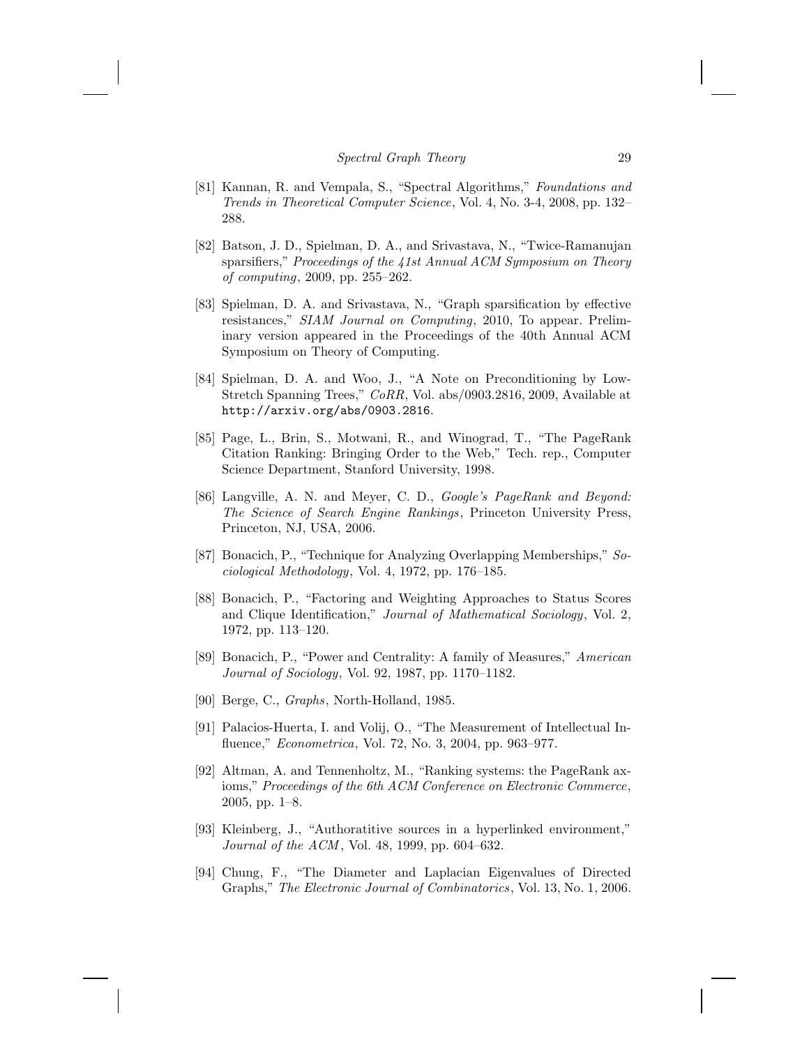- [81] Kannan, R. and Vempala, S., "Spectral Algorithms," Foundations and Trends in Theoretical Computer Science, Vol. 4, No. 3-4, 2008, pp. 132– 288.
- [82] Batson, J. D., Spielman, D. A., and Srivastava, N., "Twice-Ramanujan sparsifiers," Proceedings of the 41st Annual ACM Symposium on Theory of computing, 2009, pp. 255–262.
- [83] Spielman, D. A. and Srivastava, N., "Graph sparsification by effective resistances," SIAM Journal on Computing, 2010, To appear. Preliminary version appeared in the Proceedings of the 40th Annual ACM Symposium on Theory of Computing.
- [84] Spielman, D. A. and Woo, J., "A Note on Preconditioning by Low-Stretch Spanning Trees," CoRR, Vol. abs/0903.2816, 2009, Available at http://arxiv.org/abs/0903.2816.
- [85] Page, L., Brin, S., Motwani, R., and Winograd, T., "The PageRank Citation Ranking: Bringing Order to the Web," Tech. rep., Computer Science Department, Stanford University, 1998.
- [86] Langville, A. N. and Meyer, C. D., Google's PageRank and Beyond: The Science of Search Engine Rankings, Princeton University Press, Princeton, NJ, USA, 2006.
- [87] Bonacich, P., "Technique for Analyzing Overlapping Memberships," Sociological Methodology, Vol. 4, 1972, pp. 176–185.
- [88] Bonacich, P., "Factoring and Weighting Approaches to Status Scores and Clique Identification," Journal of Mathematical Sociology, Vol. 2, 1972, pp. 113–120.
- [89] Bonacich, P., "Power and Centrality: A family of Measures," American Journal of Sociology, Vol. 92, 1987, pp. 1170–1182.
- [90] Berge, C., Graphs, North-Holland, 1985.
- [91] Palacios-Huerta, I. and Volij, O., "The Measurement of Intellectual Influence," Econometrica, Vol. 72, No. 3, 2004, pp. 963–977.
- [92] Altman, A. and Tennenholtz, M., "Ranking systems: the PageRank axioms," Proceedings of the 6th ACM Conference on Electronic Commerce, 2005, pp. 1–8.
- [93] Kleinberg, J., "Authoratitive sources in a hyperlinked environment," Journal of the ACM, Vol. 48, 1999, pp. 604–632.
- [94] Chung, F., "The Diameter and Laplacian Eigenvalues of Directed Graphs," The Electronic Journal of Combinatorics, Vol. 13, No. 1, 2006.